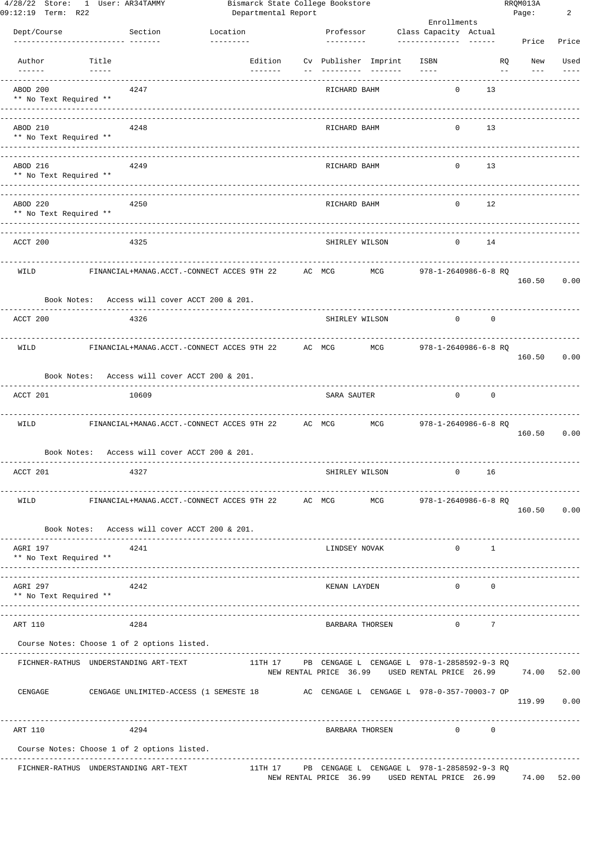| 09:12:19 Term: R22                                          | 4/28/22 Store: 1 User: AR34TAMMY                                                   |                                      |                 | Departmental Report | Bismarck State College Bookstore |     |                                                                                                     |                |                | RRQM013A<br>Page: | 2     |
|-------------------------------------------------------------|------------------------------------------------------------------------------------|--------------------------------------|-----------------|---------------------|----------------------------------|-----|-----------------------------------------------------------------------------------------------------|----------------|----------------|-------------------|-------|
|                                                             |                                                                                    |                                      |                 |                     |                                  |     | Enrollments                                                                                         |                |                |                   |       |
| Dept/Course                                                 | Section<br>-------------- -------                                                  | Location<br>---------                |                 |                     | Professor<br>---------           |     | Class Capacity Actual<br>----------------------                                                     |                |                | Price             | Price |
| Author                                                      | Title                                                                              |                                      | Edition         |                     | Cv Publisher Imprint             |     | ISBN                                                                                                |                | RQ             | New               | Used  |
| $- - - - - -$                                               | $- - - - - -$                                                                      |                                      | $- - - - - - -$ |                     |                                  |     | $- - - -$                                                                                           |                | $\sim$ $-$     |                   |       |
| ABOD 200<br>** No Text Required **<br>--------------------- | 4247                                                                               |                                      |                 |                     | RICHARD BAHM                     |     |                                                                                                     | $\circ$        | 13             |                   |       |
| ABOD 210                                                    | 4248                                                                               | ------------------------------------ |                 |                     | RICHARD BAHM                     |     |                                                                                                     | $\mathbf{0}$   | 13             |                   |       |
| ** No Text Required **<br>------------------                |                                                                                    |                                      |                 |                     |                                  |     |                                                                                                     |                |                |                   |       |
| ABOD 216<br>** No Text Required **                          | 4249                                                                               |                                      |                 |                     | RICHARD BAHM                     |     |                                                                                                     | $\mathbf{0}$   | 13             |                   |       |
| ABOD 220<br>** No Text Required **                          | 4250                                                                               |                                      |                 |                     | RICHARD BAHM                     |     |                                                                                                     | $\circ$        | 12             |                   |       |
| ACCT 200                                                    | 4325                                                                               |                                      |                 |                     | SHIRLEY WILSON                   |     |                                                                                                     | $\mathbf{0}$   | 14             |                   |       |
| WILD                                                        | FINANCIAL+MANAG.ACCT.-CONNECT ACCES 9TH 22                                         |                                      |                 | AC MCG              |                                  | MCG | 978-1-2640986-6-8 RO                                                                                |                |                | 160.50            | 0.00  |
|                                                             | Book Notes: Access will cover ACCT 200 & 201.                                      |                                      |                 |                     |                                  |     |                                                                                                     |                |                |                   |       |
| ACCT 200                                                    | 4326                                                                               |                                      |                 |                     | SHIRLEY WILSON                   |     |                                                                                                     | $\overline{0}$ | $\overline{0}$ |                   |       |
| WILD                                                        | FINANCIAL+MANAG.ACCT.-CONNECT ACCES 9TH 22                                         |                                      |                 | AC MCG              |                                  | MCG | 978-1-2640986-6-8 RQ                                                                                |                |                | 160.50            | 0.00  |
|                                                             | Book Notes: Access will cover ACCT 200 & 201.                                      |                                      |                 |                     |                                  |     |                                                                                                     |                |                |                   |       |
| ACCT 201                                                    | 10609                                                                              |                                      |                 |                     | SARA SAUTER                      |     |                                                                                                     | $\mathbf{0}$   | $\overline{0}$ |                   |       |
| WILD                                                        | FINANCIAL+MANAG.ACCT.-CONNECT ACCES 9TH 22                                         |                                      |                 | AC MCG              |                                  | MCG | 978-1-2640986-6-8 RQ                                                                                |                |                | 160.50            | 0.00  |
|                                                             | Book Notes: Access will cover ACCT 200 & 201.                                      |                                      |                 |                     |                                  |     |                                                                                                     |                |                |                   |       |
| ACCT 201                                                    | 4327                                                                               |                                      |                 |                     | SHIRLEY WILSON                   |     |                                                                                                     | $\circ$        | 16             |                   |       |
| WILD                                                        | FINANCIAL+MANAG.ACCT.-CONNECT ACCES 9TH 22 AC MCG MCG                              |                                      |                 |                     |                                  |     | 978-1-2640986-6-8 RQ                                                                                |                |                | 160.50 0.00       |       |
|                                                             | Book Notes: Access will cover ACCT 200 & 201.<br>--------------------              |                                      |                 |                     |                                  |     |                                                                                                     |                |                |                   |       |
| AGRI 197<br>** No Text Required **                          | 4241                                                                               |                                      |                 |                     | LINDSEY NOVAK                    |     |                                                                                                     | $\Omega$       | $\overline{1}$ |                   |       |
|                                                             | ---------------                                                                    |                                      |                 |                     |                                  |     |                                                                                                     |                |                |                   |       |
| AGRI 297<br>** No Text Required **                          | 4242<br>--------------------                                                       |                                      |                 |                     | KENAN LAYDEN                     |     |                                                                                                     | $\Omega$       | $\Omega$       |                   |       |
| ART 110                                                     | 4284                                                                               |                                      |                 |                     | BARBARA THORSEN                  |     |                                                                                                     | $\Omega$       | 7              |                   |       |
|                                                             | Course Notes: Choose 1 of 2 options listed.                                        |                                      |                 |                     |                                  |     |                                                                                                     |                |                |                   |       |
|                                                             | FICHNER-RATHUS UNDERSTANDING ART-TEXT                                              |                                      | 11TH 17         |                     |                                  |     | PB CENGAGE L CENGAGE L 978-1-2858592-9-3 RQ<br>NEW RENTAL PRICE 36.99 USED RENTAL PRICE 26.99 74.00 |                |                |                   | 52.00 |
| CENGAGE                                                     | CENGAGE UNLIMITED-ACCESS (1 SEMESTE 18 AC CENGAGE L CENGAGE L 978-0-357-70003-7 OP |                                      |                 |                     |                                  |     |                                                                                                     |                |                | 119.99 0.00       |       |
| ART 110                                                     | 4294                                                                               |                                      |                 |                     | BARBARA THORSEN                  |     |                                                                                                     | $\overline{0}$ | $\circ$        | ----------------  |       |
|                                                             | Course Notes: Choose 1 of 2 options listed.                                        |                                      |                 |                     |                                  |     |                                                                                                     |                |                |                   |       |
|                                                             | FICHNER-RATHUS UNDERSTANDING ART-TEXT                                              |                                      | 11TH 17         |                     | NEW RENTAL PRICE 36.99           |     | PB CENGAGE L CENGAGE L 978-1-2858592-9-3 RQ<br>USED RENTAL PRICE 26.99                              |                |                | 74.00             | 52.00 |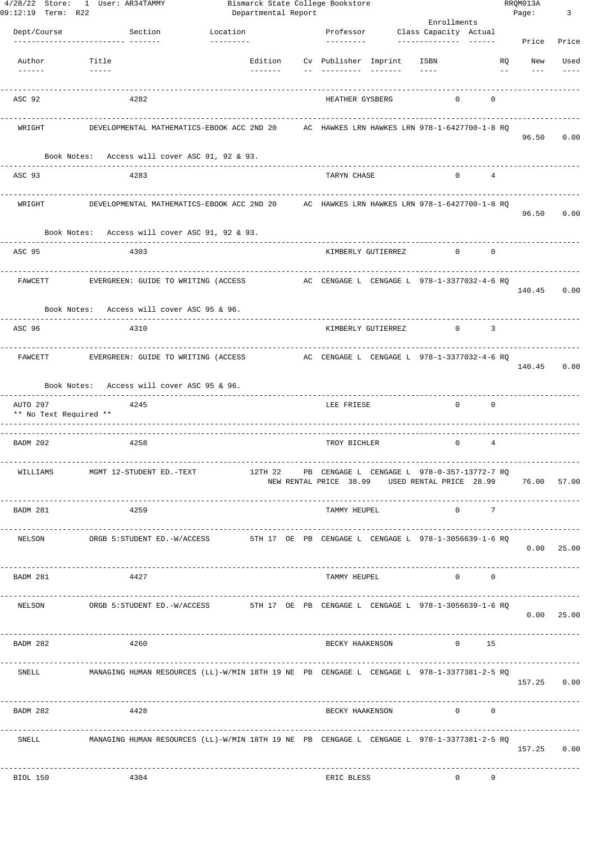| 09:12:19 Term: R22                 | 4/28/22 Store: 1 User: AR34TAMMY                                                                                                                                                                                                                                                                                                                                                                                                                                                       | Bismarck State College Bookstore<br>Departmental Report |                              |          | Enrollments                                                                                                       |                     | RRQM013A<br>Page:                 | $\overline{\mathbf{3}}$         |
|------------------------------------|----------------------------------------------------------------------------------------------------------------------------------------------------------------------------------------------------------------------------------------------------------------------------------------------------------------------------------------------------------------------------------------------------------------------------------------------------------------------------------------|---------------------------------------------------------|------------------------------|----------|-------------------------------------------------------------------------------------------------------------------|---------------------|-----------------------------------|---------------------------------|
| Dept/Course                        | Section                                                                                                                                                                                                                                                                                                                                                                                                                                                                                | Location                                                |                              |          | Professor Class Capacity Actual                                                                                   |                     |                                   |                                 |
|                                    | ---------------- -------                                                                                                                                                                                                                                                                                                                                                                                                                                                               | ---------                                               | ---------                    |          |                                                                                                                   |                     | Price                             | Price                           |
| Author                             | Title                                                                                                                                                                                                                                                                                                                                                                                                                                                                                  | --------                                                | Edition Cv Publisher Imprint |          | ISBN<br>$\cdots$                                                                                                  |                     | RQ<br>New                         | Used                            |
|                                    | $\begin{array}{cccccccccc} \multicolumn{2}{c}{} & \multicolumn{2}{c}{} & \multicolumn{2}{c}{} & \multicolumn{2}{c}{} & \multicolumn{2}{c}{} & \multicolumn{2}{c}{} & \multicolumn{2}{c}{} & \multicolumn{2}{c}{} & \multicolumn{2}{c}{} & \multicolumn{2}{c}{} & \multicolumn{2}{c}{} & \multicolumn{2}{c}{} & \multicolumn{2}{c}{} & \multicolumn{2}{c}{} & \multicolumn{2}{c}{} & \multicolumn{2}{c}{} & \multicolumn{2}{c}{} & \multicolumn{2}{c}{} & \multicolumn{2}{c}{} & \mult$ |                                                         |                              | ________ |                                                                                                                   |                     | $ -$                              |                                 |
| ASC 92                             | 4282                                                                                                                                                                                                                                                                                                                                                                                                                                                                                   |                                                         | HEATHER GYSBERG              |          | $\mathbf{0}$                                                                                                      | 0                   |                                   |                                 |
| WRIGHT                             |                                                                                                                                                                                                                                                                                                                                                                                                                                                                                        |                                                         |                              |          | ---------------------------                                                                                       |                     | 96.50                             | 0.00                            |
|                                    | Book Notes: Access will cover ASC 91, 92 & 93.<br>--------------------                                                                                                                                                                                                                                                                                                                                                                                                                 |                                                         |                              |          |                                                                                                                   |                     |                                   |                                 |
| ASC 93                             | 4283                                                                                                                                                                                                                                                                                                                                                                                                                                                                                   |                                                         | TARYN CHASE                  |          | $\circ$                                                                                                           | $\overline{4}$      |                                   |                                 |
| WRIGHT                             |                                                                                                                                                                                                                                                                                                                                                                                                                                                                                        |                                                         |                              |          | -----------------------                                                                                           |                     |                                   | 96.50 0.00                      |
|                                    | Book Notes: Access will cover ASC 91, 92 & 93.                                                                                                                                                                                                                                                                                                                                                                                                                                         | -----------------------                                 |                              |          |                                                                                                                   |                     |                                   |                                 |
| ASC 95                             | 4303                                                                                                                                                                                                                                                                                                                                                                                                                                                                                   |                                                         | KIMBERLY GUTIERREZ           |          | $\circ$                                                                                                           | $^{\circ}$          |                                   |                                 |
| FAWCETT                            | EVERGREEN: GUIDE TO WRITING (ACCESS                                                                                                                                                                                                                                                                                                                                                                                                                                                    |                                                         |                              |          | -------------------------<br>AC CENGAGE L CENGAGE L 978-1-3377032-4-6 RQ                                          |                     |                                   | 140.45 0.00                     |
|                                    | Book Notes: Access will cover ASC 95 & 96.                                                                                                                                                                                                                                                                                                                                                                                                                                             |                                                         |                              |          |                                                                                                                   |                     |                                   |                                 |
| ASC 96                             | 4310                                                                                                                                                                                                                                                                                                                                                                                                                                                                                   |                                                         | KIMBERLY GUTIERREZ           |          | $\overline{0}$                                                                                                    | 3                   |                                   |                                 |
|                                    | FAWCETT EVERGREEN: GUIDE TO WRITING (ACCESS AC CENGAGE L CENGAGE L 978-1-3377032-4-6 RQ                                                                                                                                                                                                                                                                                                                                                                                                |                                                         |                              |          | -------------------------                                                                                         |                     |                                   | 140.45 0.00                     |
|                                    | Book Notes: Access will cover ASC 95 & 96.<br>----------------------------                                                                                                                                                                                                                                                                                                                                                                                                             |                                                         |                              |          |                                                                                                                   |                     |                                   |                                 |
| AUTO 297<br>** No Text Required ** | 4245                                                                                                                                                                                                                                                                                                                                                                                                                                                                                   |                                                         | LEE FRIESE                   |          | $^{\circ}$                                                                                                        | $\overline{0}$      |                                   |                                 |
| BADM 202                           | 4258                                                                                                                                                                                                                                                                                                                                                                                                                                                                                   |                                                         | TROY BICHLER                 |          | $\circ$                                                                                                           | $\overline{4}$      |                                   |                                 |
| WILLIAMS                           | MGMT 12-STUDENT ED.-TEXT                                                                                                                                                                                                                                                                                                                                                                                                                                                               |                                                         |                              |          | 12TH 22 PB CENGAGE L CENGAGE L 978-0-357-13772-7 RQ<br>NEW RENTAL PRICE 38.99 USED RENTAL PRICE 28.99 76.00 57.00 |                     |                                   |                                 |
| BADM 281                           | 4259                                                                                                                                                                                                                                                                                                                                                                                                                                                                                   | ----------------------------                            | TAMMY HEUPEL                 |          |                                                                                                                   | $0\qquad \qquad 7$  |                                   |                                 |
| NELSON                             | ORGB 5:STUDENT ED.-W/ACCESS                                                                                                                                                                                                                                                                                                                                                                                                                                                            |                                                         |                              |          | 5TH 17 OE PB CENGAGE L CENGAGE L 978-1-3056639-1-6 RQ                                                             |                     |                                   | 0.00 25.00                      |
| BADM 281                           | 4427                                                                                                                                                                                                                                                                                                                                                                                                                                                                                   |                                                         | TAMMY HEUPEL                 |          |                                                                                                                   | $0 \qquad \qquad 0$ | ------------------                |                                 |
| NELSON                             | ORGB 5:STUDENT ED.-W/ACCESS 6TH 17 OE PB CENGAGE L CENGAGE L 978-1-3056639-1-6 RQ                                                                                                                                                                                                                                                                                                                                                                                                      |                                                         |                              |          |                                                                                                                   |                     | --------------------------------- | 0.00 25.00                      |
| BADM 282                           | 4260                                                                                                                                                                                                                                                                                                                                                                                                                                                                                   |                                                         | BECKY HAAKENSON              |          | $\overline{0}$                                                                                                    | 15                  |                                   |                                 |
|                                    | SNELL MANAGING HUMAN RESOURCES (LL)-W/MIN 18TH 19 NE PB CENGAGE L CENGAGE L 978-1-3377381-2-5 RQ                                                                                                                                                                                                                                                                                                                                                                                       |                                                         |                              |          |                                                                                                                   |                     |                                   | 157.25 0.00                     |
| BADM 282                           | 4428                                                                                                                                                                                                                                                                                                                                                                                                                                                                                   |                                                         |                              |          | BECKY HAAKENSON 0 0 0                                                                                             |                     | -----------------                 |                                 |
| SNELL                              | MANAGING HUMAN RESOURCES (LL)-W/MIN 18TH 19 NE PB CENGAGE L CENGAGE L 978-1-3377381-2-5 RQ                                                                                                                                                                                                                                                                                                                                                                                             |                                                         |                              |          |                                                                                                                   |                     |                                   | ----------------<br>157.25 0.00 |
| BIOL 150                           | 4304                                                                                                                                                                                                                                                                                                                                                                                                                                                                                   |                                                         | ERIC BLESS                   |          | $\overline{0}$                                                                                                    | 9                   |                                   |                                 |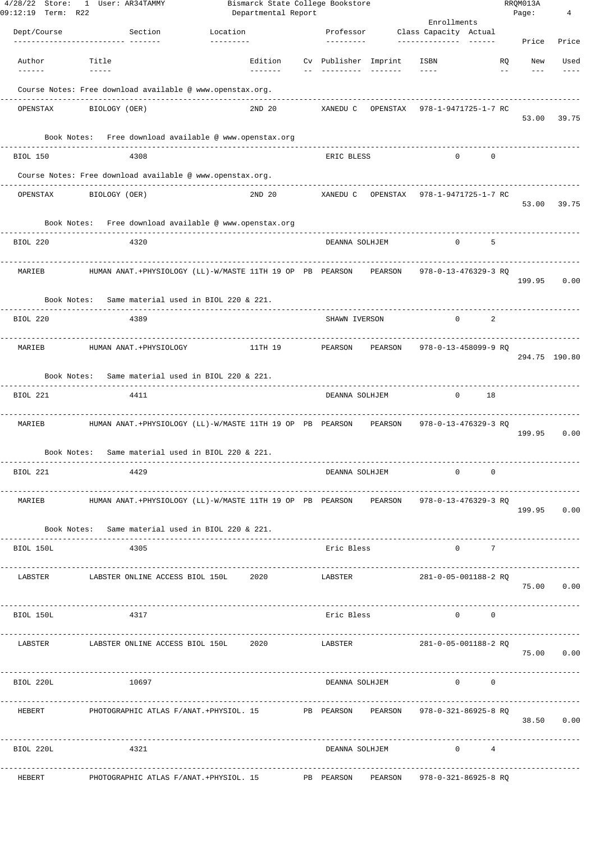| $4/28/22$ Store:<br>09:12:19 Term: R22 | 1 User: AR34TAMMY                                                                     |                            | Departmental Report | Bismarck State College Bookstore |                 |                                         |                                          | RRQM013A<br>Page: | 4             |
|----------------------------------------|---------------------------------------------------------------------------------------|----------------------------|---------------------|----------------------------------|-----------------|-----------------------------------------|------------------------------------------|-------------------|---------------|
|                                        |                                                                                       |                            |                     |                                  |                 | Enrollments                             |                                          |                   |               |
| Dept/Course                            | Section<br>-------------- ------                                                      | Location<br>----------     |                     | Professor<br>----------          |                 | Class Capacity Actual<br>-------------- |                                          | Price             | Price         |
| Author                                 | Title                                                                                 | Edition                    |                     | Cv Publisher Imprint             |                 | ISBN                                    | <b>RO</b>                                | New               | Used          |
| $- - - - - -$                          | $- - - - - -$                                                                         | $- - - - - - -$            |                     |                                  | $- - - - - - -$ | $\qquad \qquad - - -$                   | $ -$                                     | $---$             |               |
|                                        | Course Notes: Free download available @ www.openstax.org.                             |                            |                     |                                  |                 |                                         |                                          |                   |               |
|                                        |                                                                                       | 2ND 20                     |                     |                                  |                 | XANEDU C OPENSTAX 978-1-9471725-1-7 RC  |                                          |                   |               |
| OPENSTAX                               | BIOLOGY (OER)                                                                         |                            |                     |                                  |                 |                                         |                                          | 53.00             | 39.75         |
|                                        | Book Notes: Free download available @ www.openstax.org                                |                            |                     |                                  |                 |                                         |                                          |                   |               |
| BIOL 150                               | 4308                                                                                  |                            |                     | ERIC BLESS                       |                 | $\circ$                                 | $\mathbf 0$                              |                   |               |
|                                        | Course Notes: Free download available @ www.openstax.org.                             |                            |                     |                                  |                 |                                         |                                          |                   |               |
| OPENSTAX                               | BIOLOGY (OER)                                                                         | -------------------------- |                     | 2ND 20 XANEDU C OPENSTAX         |                 | 978-1-9471725-1-7 RC                    |                                          |                   |               |
|                                        |                                                                                       |                            |                     |                                  |                 |                                         |                                          | 53.00             | 39.75         |
|                                        | Book Notes: Free download available @ www.openstax.org                                |                            |                     |                                  |                 |                                         |                                          |                   |               |
| BIOL 220                               | 4320                                                                                  |                            |                     | DEANNA SOLHJEM                   |                 | $\mathbf{0}$                            | - 5                                      |                   |               |
|                                        |                                                                                       |                            |                     |                                  |                 |                                         |                                          |                   |               |
| MARIEB                                 | HUMAN ANAT.+PHYSIOLOGY (LL)-W/MASTE 11TH 19 OP PB PEARSON PEARSON                     |                            |                     |                                  |                 | 978-0-13-476329-3 RQ                    |                                          | 199.95            | 0.00          |
|                                        | Book Notes: Same material used in BIOL 220 & 221.                                     |                            |                     |                                  |                 |                                         |                                          |                   |               |
|                                        |                                                                                       |                            |                     |                                  |                 |                                         |                                          |                   |               |
| BIOL 220                               | 4389                                                                                  |                            |                     | SHAWN IVERSON                    |                 | $\mathbf{0}$                            | 2                                        |                   |               |
| MARIEB                                 | HUMAN ANAT.+PHYSIOLOGY                                                                | 11TH 19                    |                     | PEARSON PEARSON                  |                 | 978-0-13-458099-9 RQ                    |                                          |                   |               |
|                                        |                                                                                       |                            |                     |                                  |                 |                                         |                                          |                   | 294.75 190.80 |
|                                        | Book Notes: Same material used in BIOL 220 & 221.                                     |                            |                     |                                  |                 |                                         |                                          |                   |               |
| BIOL 221                               | 4411                                                                                  |                            |                     | DEANNA SOLHJEM                   |                 | $\circ$                                 | 18                                       |                   |               |
| MARIEB                                 | HUMAN ANAT.+PHYSIOLOGY (LL)-W/MASTE 11TH 19 OP PB PEARSON PEARSON                     |                            |                     |                                  |                 | 978-0-13-476329-3 RQ                    |                                          |                   |               |
|                                        |                                                                                       |                            |                     |                                  |                 |                                         |                                          | 199.95            | 0.00          |
| Book Notes:                            | Same material used in BIOL 220 & 221.                                                 |                            |                     |                                  |                 |                                         |                                          |                   |               |
| BIOL 221                               | 4429                                                                                  |                            |                     | DEANNA SOLHJEM                   |                 | $\circ$                                 | $\mathbf 0$                              |                   |               |
|                                        |                                                                                       |                            |                     |                                  |                 |                                         |                                          |                   |               |
| MARIEB                                 | HUMAN ANAT.+PHYSIOLOGY (LL)-W/MASTE 11TH 19 OP PB PEARSON PEARSON                     |                            |                     |                                  |                 | 978-0-13-476329-3 RQ                    |                                          |                   | 199.95 0.00   |
|                                        | Book Notes: Same material used in BIOL 220 & 221.                                     |                            |                     |                                  |                 |                                         |                                          |                   |               |
|                                        | .                                                                                     |                            |                     |                                  |                 |                                         |                                          |                   |               |
| BIOL 150L                              | 4305                                                                                  |                            |                     | Eric Bless                       |                 |                                         | $\begin{array}{ccc} 0 & & 7 \end{array}$ |                   |               |
| LABSTER                                | LABSTER ONLINE ACCESS BIOL 150L 2020                                                  |                            |                     | LABSTER                          |                 | 281-0-05-001188-2 RQ                    |                                          |                   |               |
|                                        |                                                                                       |                            |                     |                                  |                 |                                         |                                          |                   | 75.00 0.00    |
| BIOL 150L                              | 4317                                                                                  |                            |                     | Eric Bless                       |                 |                                         | $\Omega$<br>$\circ$                      |                   |               |
|                                        |                                                                                       |                            |                     |                                  |                 |                                         |                                          |                   |               |
| LABSTER                                | LABSTER ONLINE ACCESS BIOL 150L 2020                                                  |                            |                     | LABSTER                          |                 | 281-0-05-001188-2 RQ                    |                                          |                   | 75.00 0.00    |
|                                        |                                                                                       |                            |                     |                                  |                 |                                         |                                          |                   |               |
| BIOL 220L                              | 10697                                                                                 |                            |                     | DEANNA SOLHJEM                   |                 |                                         | $0 \qquad \qquad$<br>$\overline{0}$      |                   |               |
|                                        |                                                                                       |                            |                     |                                  |                 |                                         |                                          |                   |               |
|                                        | HEBERT PHOTOGRAPHIC ATLAS F/ANAT.+PHYSIOL. 15 PE PEARSON PEARSON 978-0-321-86925-8 RQ |                            |                     |                                  |                 |                                         |                                          |                   | 38.50 0.00    |
|                                        |                                                                                       |                            |                     |                                  |                 |                                         |                                          |                   |               |
| BIOL 220L                              | 4321                                                                                  |                            |                     | DEANNA SOLHJEM                   |                 | $\sim$ 0 4                              |                                          |                   |               |
| HEBERT                                 | PHOTOGRAPHIC ATLAS F/ANAT.+PHYSIOL. 15 PB PEARSON PEARSON 978-0-321-86925-8 RQ        |                            |                     | -------------------------------- |                 |                                         |                                          |                   |               |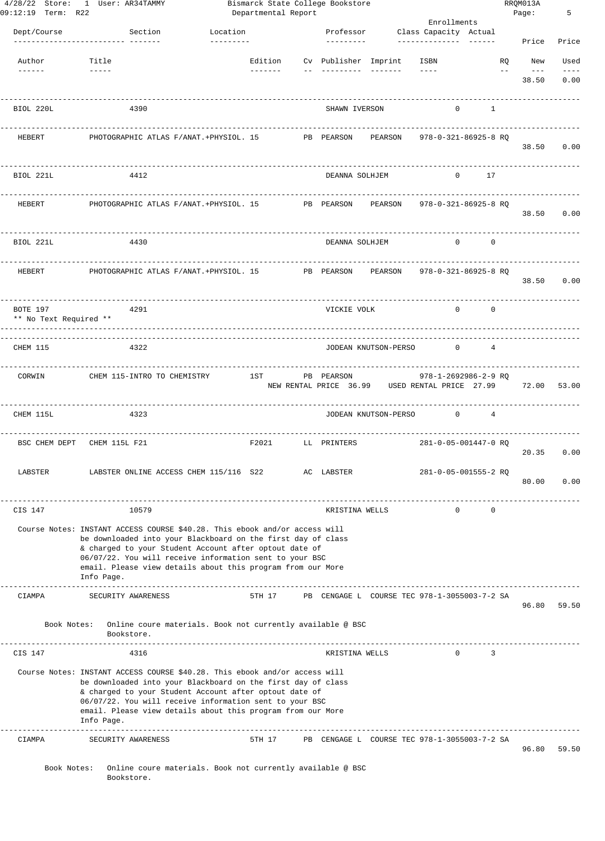| 09:12:19 Term: R22                 | 4/28/22 Store: 1 User: AR34TAMMY                                                                                                                                                                                                                                                                                                             |                    | Departmental Report | Bismarck State College Bookstore |                                                            |                                                                                                                                                                                                                                                                                                                                                                                              |                                 | RRQM013A<br>Page: | 5          |
|------------------------------------|----------------------------------------------------------------------------------------------------------------------------------------------------------------------------------------------------------------------------------------------------------------------------------------------------------------------------------------------|--------------------|---------------------|----------------------------------|------------------------------------------------------------|----------------------------------------------------------------------------------------------------------------------------------------------------------------------------------------------------------------------------------------------------------------------------------------------------------------------------------------------------------------------------------------------|---------------------------------|-------------------|------------|
|                                    | Section                                                                                                                                                                                                                                                                                                                                      | Location           |                     | Professor                        |                                                            | Enrollments                                                                                                                                                                                                                                                                                                                                                                                  |                                 |                   |            |
| Dept/Course                        | -------------- -------                                                                                                                                                                                                                                                                                                                       | ---------          |                     | ----------                       |                                                            | Class Capacity Actual                                                                                                                                                                                                                                                                                                                                                                        |                                 | Price             | Price      |
| Author                             | Title                                                                                                                                                                                                                                                                                                                                        |                    |                     |                                  | Edition Cv Publisher Imprint                               | ISBN                                                                                                                                                                                                                                                                                                                                                                                         |                                 | <b>RQ</b><br>New  | Used       |
| $- - - - - -$                      |                                                                                                                                                                                                                                                                                                                                              | -------- <b>11</b> |                     |                                  |                                                            | $\frac{1}{2} \frac{1}{2} \frac{1}{2} \frac{1}{2} \frac{1}{2} \frac{1}{2} \frac{1}{2} \frac{1}{2} \frac{1}{2} \frac{1}{2} \frac{1}{2} \frac{1}{2} \frac{1}{2} \frac{1}{2} \frac{1}{2} \frac{1}{2} \frac{1}{2} \frac{1}{2} \frac{1}{2} \frac{1}{2} \frac{1}{2} \frac{1}{2} \frac{1}{2} \frac{1}{2} \frac{1}{2} \frac{1}{2} \frac{1}{2} \frac{1}{2} \frac{1}{2} \frac{1}{2} \frac{1}{2} \frac{$ |                                 | $- -$<br>$---$    | $- - - -$  |
|                                    |                                                                                                                                                                                                                                                                                                                                              |                    |                     |                                  |                                                            |                                                                                                                                                                                                                                                                                                                                                                                              |                                 | 38.50             | 0.00       |
| BIOL 220L                          | 4390                                                                                                                                                                                                                                                                                                                                         |                    |                     | SHAWN IVERSON                    |                                                            | $\Omega$                                                                                                                                                                                                                                                                                                                                                                                     | 1                               |                   |            |
| <b>HEBERT</b>                      | PHOTOGRAPHIC ATLAS F/ANAT. +PHYSIOL. 15                                                                                                                                                                                                                                                                                                      |                    |                     | PB PEARSON                       | PEARSON                                                    | 978-0-321-86925-8 RO                                                                                                                                                                                                                                                                                                                                                                         |                                 |                   | 38.50 0.00 |
| BIOL 221L                          | 4412                                                                                                                                                                                                                                                                                                                                         |                    |                     | DEANNA SOLHJEM                   |                                                            | $\Omega$                                                                                                                                                                                                                                                                                                                                                                                     | 17                              |                   |            |
| HEBERT                             | PHOTOGRAPHIC ATLAS F/ANAT.+PHYSIOL. 15                                                                                                                                                                                                                                                                                                       |                    |                     | PB PEARSON                       | PEARSON                                                    | 978-0-321-86925-8 RQ                                                                                                                                                                                                                                                                                                                                                                         |                                 |                   |            |
|                                    |                                                                                                                                                                                                                                                                                                                                              |                    |                     |                                  |                                                            |                                                                                                                                                                                                                                                                                                                                                                                              |                                 |                   | 38.50 0.00 |
| BIOL 221L                          | 4430                                                                                                                                                                                                                                                                                                                                         |                    |                     | DEANNA SOLHJEM                   |                                                            |                                                                                                                                                                                                                                                                                                                                                                                              | $0 \qquad \qquad$<br>$^{\circ}$ |                   |            |
| HEBERT                             | PHOTOGRAPHIC ATLAS F/ANAT.+PHYSIOL. 15                                                                                                                                                                                                                                                                                                       |                    |                     | PB PEARSON PEARSON               |                                                            | 978-0-321-86925-8 RO                                                                                                                                                                                                                                                                                                                                                                         |                                 |                   | 38.50 0.00 |
| BOTE 197<br>** No Text Required ** | 4291                                                                                                                                                                                                                                                                                                                                         |                    |                     | VICKIE VOLK                      |                                                            | $\Omega$                                                                                                                                                                                                                                                                                                                                                                                     | $\Omega$                        |                   |            |
| CHEM 115                           | 4322                                                                                                                                                                                                                                                                                                                                         |                    |                     |                                  | JODEAN KNUTSON-PERSO                                       | $\mathbf{0}$                                                                                                                                                                                                                                                                                                                                                                                 | $\overline{4}$                  |                   |            |
| CORWIN                             | CHEM 115-INTRO TO CHEMISTRY                                                                                                                                                                                                                                                                                                                  | 1ST                |                     | PB PEARSON                       | NEW RENTAL PRICE 36.99 USED RENTAL PRICE 27.99 72.00 53.00 | 978-1-2692986-2-9 RQ                                                                                                                                                                                                                                                                                                                                                                         |                                 |                   |            |
| CHEM 115L                          | 4323                                                                                                                                                                                                                                                                                                                                         |                    |                     |                                  | JODEAN KNUTSON-PERSO                                       | $\mathbf{0}$                                                                                                                                                                                                                                                                                                                                                                                 | $\overline{4}$                  |                   |            |
| BSC CHEM DEPT                      | CHEM 115L F21                                                                                                                                                                                                                                                                                                                                | F2021              |                     | LL PRINTERS                      |                                                            | 281-0-05-001447-0 RQ                                                                                                                                                                                                                                                                                                                                                                         |                                 | 20.35             | 0.00       |
| LABSTER                            | LABSTER ONLINE ACCESS CHEM 115/116 S22                                                                                                                                                                                                                                                                                                       |                    |                     | AC LABSTER                       |                                                            | 281-0-05-001555-2 RO                                                                                                                                                                                                                                                                                                                                                                         |                                 | 80.00             | 0.00       |
| CIS 147                            | 10579                                                                                                                                                                                                                                                                                                                                        |                    |                     | KRISTINA WELLS                   |                                                            | $\mathbf{0}$                                                                                                                                                                                                                                                                                                                                                                                 | 0                               |                   |            |
|                                    | Course Notes: INSTANT ACCESS COURSE \$40.28. This ebook and/or access will<br>be downloaded into your Blackboard on the first day of class<br>& charged to your Student Account after optout date of<br>06/07/22. You will receive information sent to your BSC<br>email. Please view details about this program from our More<br>Info Page. |                    |                     |                                  |                                                            |                                                                                                                                                                                                                                                                                                                                                                                              |                                 |                   |            |
| CIAMPA                             | SECURITY AWARENESS                                                                                                                                                                                                                                                                                                                           | 5TH 17             |                     |                                  | PB CENGAGE L COURSE TEC 978-1-3055003-7-2 SA               |                                                                                                                                                                                                                                                                                                                                                                                              |                                 | 96.80             | 59.50      |
|                                    | Book Notes: Online coure materials. Book not currently available @ BSC<br>Bookstore.                                                                                                                                                                                                                                                         |                    |                     |                                  |                                                            |                                                                                                                                                                                                                                                                                                                                                                                              |                                 |                   |            |
| CIS 147                            | 4316                                                                                                                                                                                                                                                                                                                                         |                    |                     | KRISTINA WELLS                   |                                                            | $\Omega$                                                                                                                                                                                                                                                                                                                                                                                     | 3                               |                   |            |
|                                    | Course Notes: INSTANT ACCESS COURSE \$40.28. This ebook and/or access will<br>be downloaded into your Blackboard on the first day of class<br>& charged to your Student Account after optout date of<br>06/07/22. You will receive information sent to your BSC<br>email. Please view details about this program from our More<br>Info Page. |                    |                     |                                  |                                                            |                                                                                                                                                                                                                                                                                                                                                                                              |                                 |                   |            |
| CIAMPA                             | SECURITY AWARENESS                                                                                                                                                                                                                                                                                                                           | 5TH 17             |                     |                                  | PB CENGAGE L COURSE TEC 978-1-3055003-7-2 SA               |                                                                                                                                                                                                                                                                                                                                                                                              |                                 | 96.80             | 59.50      |
| Book Notes:                        | Online coure materials. Book not currently available @ BSC<br>Bookstore.                                                                                                                                                                                                                                                                     |                    |                     |                                  |                                                            |                                                                                                                                                                                                                                                                                                                                                                                              |                                 |                   |            |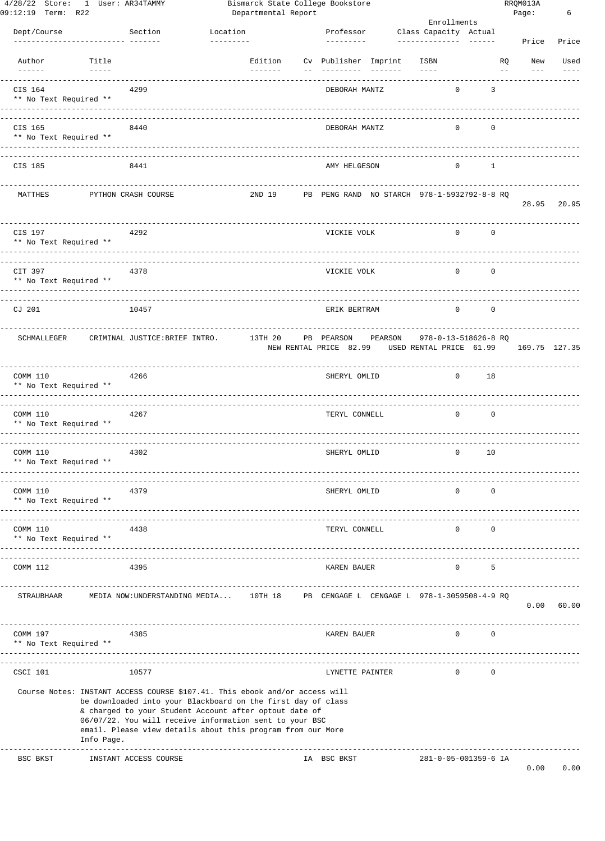| 09:12:19 Term: R22 | 4/28/22 Store: 1 User: AR34TAMMY                                                                                                                                                                                                                                                                                                                                                                      |                                                                                                                                                                                                                                                                                                                                 |          |                            | Departmental Report | Bismarck State College Bookstore     |                                             |                         |                |                      | RRQM013A<br>Page: | 6     |
|--------------------|-------------------------------------------------------------------------------------------------------------------------------------------------------------------------------------------------------------------------------------------------------------------------------------------------------------------------------------------------------------------------------------------------------|---------------------------------------------------------------------------------------------------------------------------------------------------------------------------------------------------------------------------------------------------------------------------------------------------------------------------------|----------|----------------------------|---------------------|--------------------------------------|---------------------------------------------|-------------------------|----------------|----------------------|-------------------|-------|
|                    |                                                                                                                                                                                                                                                                                                                                                                                                       |                                                                                                                                                                                                                                                                                                                                 |          |                            |                     |                                      |                                             |                         | Enrollments    |                      |                   |       |
| Dept/Course        |                                                                                                                                                                                                                                                                                                                                                                                                       | Section                                                                                                                                                                                                                                                                                                                         | Location |                            |                     | Professor<br>----------              |                                             | Class Capacity Actual   |                |                      | Price             | Price |
| Author             | Title<br>$\frac{1}{2} \frac{1}{2} \frac{1}{2} \frac{1}{2} \frac{1}{2} \frac{1}{2} \frac{1}{2} \frac{1}{2} \frac{1}{2} \frac{1}{2} \frac{1}{2} \frac{1}{2} \frac{1}{2} \frac{1}{2} \frac{1}{2} \frac{1}{2} \frac{1}{2} \frac{1}{2} \frac{1}{2} \frac{1}{2} \frac{1}{2} \frac{1}{2} \frac{1}{2} \frac{1}{2} \frac{1}{2} \frac{1}{2} \frac{1}{2} \frac{1}{2} \frac{1}{2} \frac{1}{2} \frac{1}{2} \frac{$ |                                                                                                                                                                                                                                                                                                                                 |          | Edition<br>$- - - - - - -$ |                     |                                      | Cv Publisher Imprint                        | ISBN<br>$- - - - -$     |                | RQ<br>$- -$          | New<br>$---$      | Used  |
| CIS 164            | ** No Text Required **                                                                                                                                                                                                                                                                                                                                                                                | 4299                                                                                                                                                                                                                                                                                                                            |          |                            |                     | DEBORAH MANTZ                        |                                             |                         | 0              | 3                    |                   |       |
| CIS 165            | ** No Text Required **                                                                                                                                                                                                                                                                                                                                                                                | 8440                                                                                                                                                                                                                                                                                                                            |          |                            |                     | DEBORAH MANTZ                        |                                             |                         | 0              | $\mathbf 0$          |                   |       |
| CIS 185            |                                                                                                                                                                                                                                                                                                                                                                                                       | 8441                                                                                                                                                                                                                                                                                                                            |          |                            |                     | AMY HELGESON                         |                                             |                         | 0              | 1                    |                   |       |
| MATTHES            |                                                                                                                                                                                                                                                                                                                                                                                                       | PYTHON CRASH COURSE                                                                                                                                                                                                                                                                                                             |          | 2ND 19                     |                     |                                      | PB PENG RAND NO STARCH 978-1-5932792-8-8 RQ |                         |                |                      | 28.95             | 20.95 |
| CIS 197            | ** No Text Required **                                                                                                                                                                                                                                                                                                                                                                                | 4292                                                                                                                                                                                                                                                                                                                            |          |                            |                     | VICKIE VOLK                          |                                             |                         | $\circ$        | 0                    |                   |       |
| CIT 397            | ** No Text Required **                                                                                                                                                                                                                                                                                                                                                                                | 4378                                                                                                                                                                                                                                                                                                                            |          |                            |                     | VICKIE VOLK                          |                                             |                         | $\circ$        | 0                    |                   |       |
| CJ 201             |                                                                                                                                                                                                                                                                                                                                                                                                       | 10457                                                                                                                                                                                                                                                                                                                           |          |                            |                     | ERIK BERTRAM                         |                                             |                         | $\overline{0}$ | $\circ$              |                   |       |
| SCHMALLEGER        |                                                                                                                                                                                                                                                                                                                                                                                                       | CRIMINAL JUSTICE: BRIEF INTRO.                                                                                                                                                                                                                                                                                                  |          | 13TH 20                    |                     | PB PEARSON<br>NEW RENTAL PRICE 82.99 | PEARSON                                     | USED RENTAL PRICE 61.99 |                | 978-0-13-518626-8 RQ | 169.75 127.35     |       |
| COMM 110           | ** No Text Required **                                                                                                                                                                                                                                                                                                                                                                                | 4266                                                                                                                                                                                                                                                                                                                            |          |                            |                     | SHERYL OMLID                         |                                             |                         | $\mathbf{0}$   | 18                   |                   |       |
| COMM 110           | ** No Text Required **                                                                                                                                                                                                                                                                                                                                                                                | 4267                                                                                                                                                                                                                                                                                                                            |          |                            |                     | TERYL CONNELL                        |                                             |                         | $\Omega$       | $\mathbf 0$          |                   |       |
| COMM 110           | ** No Text Required **                                                                                                                                                                                                                                                                                                                                                                                | 4302                                                                                                                                                                                                                                                                                                                            |          |                            |                     | SHERYL OMLID                         |                                             |                         | 0              | 10                   |                   |       |
| COMM 110           | ** No Text Required **                                                                                                                                                                                                                                                                                                                                                                                | 4379<br>--------------------------                                                                                                                                                                                                                                                                                              |          |                            |                     | SHERYL OMLID                         |                                             |                         | 0              | 0                    |                   |       |
| COMM 110           | ** No Text Required **                                                                                                                                                                                                                                                                                                                                                                                | 4438<br>---------------------------------                                                                                                                                                                                                                                                                                       |          |                            |                     | TERYL CONNELL                        |                                             |                         | 0              | 0                    |                   |       |
| COMM 112           |                                                                                                                                                                                                                                                                                                                                                                                                       | 4395                                                                                                                                                                                                                                                                                                                            |          |                            |                     | KAREN BAUER                          |                                             |                         | 0              | 5                    |                   |       |
| STRAUBHAAR         |                                                                                                                                                                                                                                                                                                                                                                                                       | MEDIA NOW: UNDERSTANDING MEDIA 10TH 18                                                                                                                                                                                                                                                                                          |          |                            |                     |                                      | PB CENGAGE L CENGAGE L 978-1-3059508-4-9 RO |                         |                |                      | 0.00              | 60.00 |
| COMM 197           | ** No Text Required **                                                                                                                                                                                                                                                                                                                                                                                | 4385                                                                                                                                                                                                                                                                                                                            |          |                            |                     | KAREN BAUER                          |                                             |                         | $\circ$        | 0                    |                   |       |
| CSCI 101           |                                                                                                                                                                                                                                                                                                                                                                                                       | 10577                                                                                                                                                                                                                                                                                                                           |          |                            |                     | LYNETTE PAINTER                      |                                             |                         | $\mathbf{0}$   | 0                    |                   |       |
|                    | Info Page.                                                                                                                                                                                                                                                                                                                                                                                            | Course Notes: INSTANT ACCESS COURSE \$107.41. This ebook and/or access will<br>be downloaded into your Blackboard on the first day of class<br>& charged to your Student Account after optout date of<br>06/07/22. You will receive information sent to your BSC<br>email. Please view details about this program from our More |          |                            |                     |                                      |                                             |                         |                |                      |                   |       |
| BSC BKST           |                                                                                                                                                                                                                                                                                                                                                                                                       | INSTANT ACCESS COURSE                                                                                                                                                                                                                                                                                                           |          |                            |                     | IA BSC BKST                          |                                             |                         |                | 281-0-05-001359-6 IA | 0.00              | 0.00  |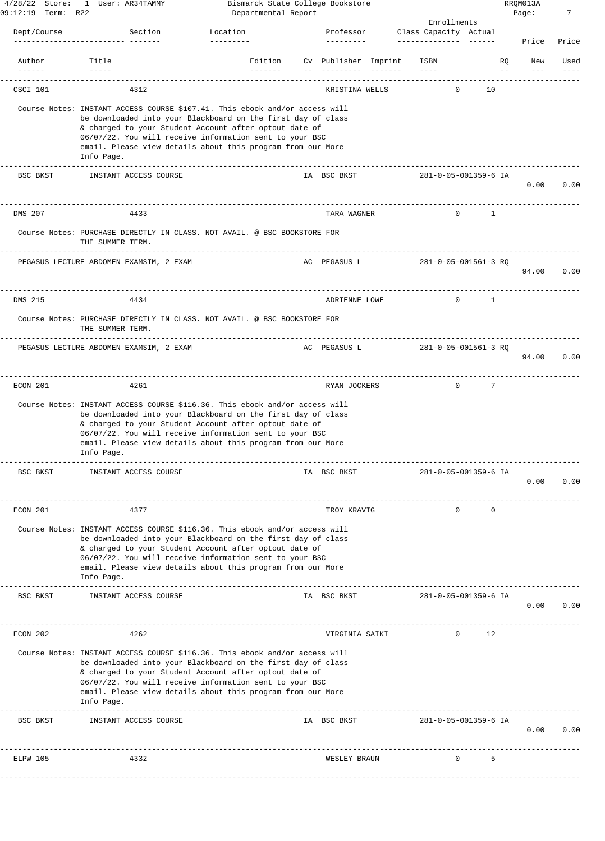| $4/28/22$ Store:        | 1 User: AR34TAMMY                                                                                                                                                                                                                                                                                                                             | Bismarck State College Bookstore |                                             |                 |                       |    |                | RRQM013A |       |
|-------------------------|-----------------------------------------------------------------------------------------------------------------------------------------------------------------------------------------------------------------------------------------------------------------------------------------------------------------------------------------------|----------------------------------|---------------------------------------------|-----------------|-----------------------|----|----------------|----------|-------|
| 09:12:19 Term: R22      |                                                                                                                                                                                                                                                                                                                                               | Departmental Report              |                                             |                 | Enrollments           |    |                | Page:    | 7     |
| Dept/Course             | Section                                                                                                                                                                                                                                                                                                                                       | Location                         | Professor                                   |                 | Class Capacity Actual |    |                |          |       |
|                         |                                                                                                                                                                                                                                                                                                                                               | ----------                       | ---------                                   |                 | --------------        |    |                | Price    | Price |
| Author<br>$- - - - - -$ | Title<br>$- - - - - -$                                                                                                                                                                                                                                                                                                                        | Edition<br>$- - - - - - -$       | Cv Publisher Imprint<br>$- - - - - - - - -$ | $- - - - - - -$ | ISBN<br>$- - - -$     |    | RQ<br>$- \, -$ | New      | Used  |
| CSCI 101                | 4312                                                                                                                                                                                                                                                                                                                                          |                                  | KRISTINA WELLS                              |                 | $\mathbf{0}$          | 10 |                |          |       |
|                         | Course Notes: INSTANT ACCESS COURSE \$107.41. This ebook and/or access will<br>be downloaded into your Blackboard on the first day of class<br>& charged to your Student Account after optout date of<br>06/07/22. You will receive information sent to your BSC<br>email. Please view details about this program from our More<br>Info Page. |                                  |                                             |                 |                       |    |                |          |       |
| BSC BKST                | INSTANT ACCESS COURSE                                                                                                                                                                                                                                                                                                                         |                                  | IA BSC BKST                                 |                 | 281-0-05-001359-6 IA  |    |                | 0.00     | 0.00  |
| DMS 207                 | 4433                                                                                                                                                                                                                                                                                                                                          |                                  | TARA WAGNER                                 |                 | $\mathbf{0}$          | 1  |                |          |       |
|                         | Course Notes: PURCHASE DIRECTLY IN CLASS. NOT AVAIL. @ BSC BOOKSTORE FOR<br>THE SUMMER TERM.                                                                                                                                                                                                                                                  |                                  |                                             |                 |                       |    |                |          |       |
|                         | ---------------<br>PEGASUS LECTURE ABDOMEN EXAMSIM, 2 EXAM                                                                                                                                                                                                                                                                                    |                                  | AC PEGASUS L                                |                 | 281-0-05-001561-3 RQ  |    |                | 94.00    | 0.00  |
| DMS 215                 | 4434                                                                                                                                                                                                                                                                                                                                          |                                  | ADRIENNE LOWE                               |                 | $\cap$                | 1  |                |          |       |
|                         | Course Notes: PURCHASE DIRECTLY IN CLASS. NOT AVAIL. @ BSC BOOKSTORE FOR<br>THE SUMMER TERM.                                                                                                                                                                                                                                                  |                                  |                                             |                 |                       |    |                |          |       |
|                         | ---------------<br>PEGASUS LECTURE ABDOMEN EXAMSIM, 2 EXAM                                                                                                                                                                                                                                                                                    |                                  | AC PEGASUS L                                |                 | 281-0-05-001561-3 RQ  |    |                | 94.00    | 0.00  |
| ECON 201                | 4261                                                                                                                                                                                                                                                                                                                                          |                                  | RYAN JOCKERS                                |                 | $\mathbf{0}$          | 7  |                |          |       |
|                         | Course Notes: INSTANT ACCESS COURSE \$116.36. This ebook and/or access will<br>be downloaded into your Blackboard on the first day of class<br>& charged to your Student Account after optout date of<br>06/07/22. You will receive information sent to your BSC<br>email. Please view details about this program from our More<br>Info Page. |                                  |                                             |                 |                       |    |                |          |       |
| BSC BKST                | INSTANT ACCESS COURSE                                                                                                                                                                                                                                                                                                                         |                                  | IA BSC BKST                                 |                 | 281-0-05-001359-6 IA  |    |                | 0.00     | 0.00  |
| ECON 201                | 4377                                                                                                                                                                                                                                                                                                                                          |                                  | TROY KRAVIG                                 |                 | $\Omega$              | 0  |                |          |       |
|                         | Course Notes: INSTANT ACCESS COURSE \$116.36. This ebook and/or access will<br>be downloaded into your Blackboard on the first day of class<br>& charged to your Student Account after optout date of<br>06/07/22. You will receive information sent to your BSC<br>email. Please view details about this program from our More<br>Info Page. |                                  |                                             |                 |                       |    |                |          |       |
| BSC BKST                | INSTANT ACCESS COURSE                                                                                                                                                                                                                                                                                                                         |                                  | IA BSC BKST                                 |                 | 281-0-05-001359-6 IA  |    |                | 0.00     | 0.00  |
| ECON 202                | 4262                                                                                                                                                                                                                                                                                                                                          |                                  | VIRGINIA SAIKI                              |                 | $\mathbf{0}$          | 12 |                |          |       |
|                         | Course Notes: INSTANT ACCESS COURSE \$116.36. This ebook and/or access will<br>be downloaded into your Blackboard on the first day of class<br>& charged to your Student Account after optout date of<br>06/07/22. You will receive information sent to your BSC<br>email. Please view details about this program from our More<br>Info Page. |                                  |                                             |                 |                       |    |                |          |       |
| BSC BKST                | INSTANT ACCESS COURSE                                                                                                                                                                                                                                                                                                                         |                                  | IA BSC BKST                                 |                 | 281-0-05-001359-6 IA  |    |                | 0.00     | 0.00  |
| ELPW 105                | 4332                                                                                                                                                                                                                                                                                                                                          |                                  | WESLEY BRAUN                                |                 | $\mathbf 0$           | 5  |                |          |       |
|                         |                                                                                                                                                                                                                                                                                                                                               |                                  |                                             |                 |                       |    |                |          |       |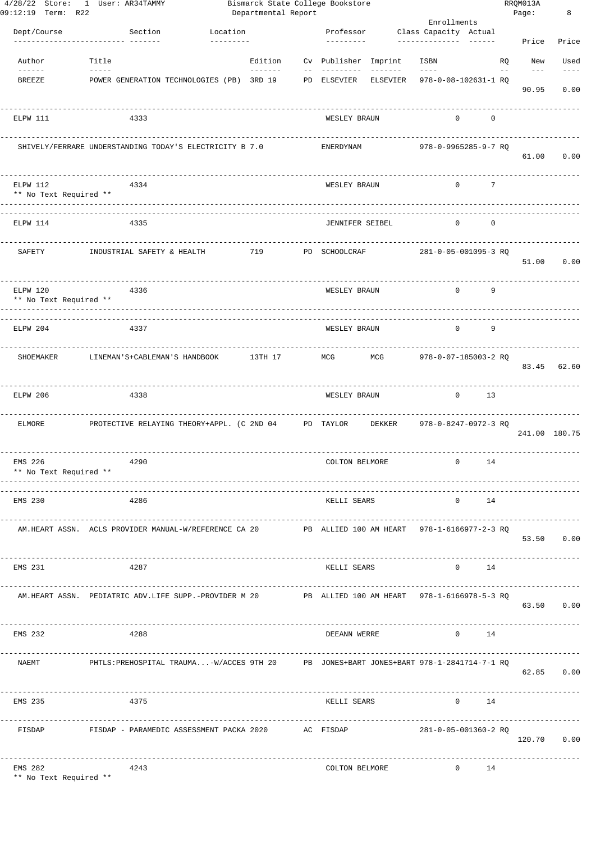| 09:12:19 Term: R22                 | 4/28/22 Store: 1 User: AR34TAMMY                                                                  |                       | Departmental Report | Bismarck State College Bookstore |                   | Enrollments                                  |             | RRQM013A<br>Page: |                | 8             |
|------------------------------------|---------------------------------------------------------------------------------------------------|-----------------------|---------------------|----------------------------------|-------------------|----------------------------------------------|-------------|-------------------|----------------|---------------|
| Dept/Course                        | Section                                                                                           | Location<br>--------- |                     | Professor<br>---------           |                   | Class Capacity Actual                        |             |                   | Price          | Price         |
| Author                             | Title                                                                                             |                       | Edition             | Cv Publisher Imprint             |                   | ISBN                                         |             | RQ                | New            | Used          |
| $- - - - - -$<br><b>BREEZE</b>     | POWER GENERATION TECHNOLOGIES (PB) 3RD 19                                                         |                       | --------            | PD ELSEVIER                      | $- - - - - - -$   | $- - - - -$<br>ELSEVIER 978-0-08-102631-1 RQ |             |                   | $---$<br>90.95 | 0.00          |
| ELPW 111                           | 4333                                                                                              |                       |                     | WESLEY BRAUN                     |                   | $\circ$                                      | $\mathbf 0$ |                   |                |               |
|                                    | SHIVELY/FERRARE UNDERSTANDING TODAY'S ELECTRICITY B 7.0                                           |                       |                     | ENERDYNAM                        |                   | 978-0-9965285-9-7 RQ                         |             |                   | 61.00          | 0.00          |
| ELPW 112<br>** No Text Required ** | 4334<br>---------                                                                                 |                       |                     | WESLEY BRAUN                     |                   | $\mathbf 0$                                  | 7           |                   |                |               |
| ELPW 114                           | 4335                                                                                              |                       |                     | <b>JENNIFER SEIBEL</b>           |                   | $\Omega$                                     | 0           |                   |                |               |
| SAFETY                             | INDUSTRIAL SAFETY & HEALTH                                                                        |                       | 719                 | PD SCHOOLCRAF                    |                   | 281-0-05-001095-3 RQ                         |             |                   | 51.00          | 0.00          |
| ELPW 120<br>** No Text Required ** | 4336                                                                                              |                       |                     | WESLEY BRAUN                     |                   | $\Omega$                                     | 9           |                   |                |               |
| ELPW 204                           | 4337                                                                                              |                       |                     | WESLEY BRAUN                     |                   | $\Omega$                                     | 9           |                   |                |               |
| SHOEMAKER                          | LINEMAN'S+CABLEMAN'S HANDBOOK                                                                     |                       | 13TH 17             | MCG                              | MCG               | 978-0-07-185003-2 RQ                         |             |                   | 83.45          | 62.60         |
| ELPW 206                           | 4338                                                                                              |                       |                     | WESLEY BRAUN                     |                   | $\mathbf{0}$                                 | 13          |                   |                |               |
| <b>ELMORE</b>                      | PROTECTIVE RELAYING THEORY+APPL. (C 2ND 04 PD TAYLOR                                              |                       |                     |                                  | DEKKER            | 978-0-8247-0972-3 RQ                         |             |                   |                | 241.00 180.75 |
| EMS 226<br>** No Text Required **  | 4290                                                                                              |                       |                     | COLTON BELMORE                   |                   | $\circ$                                      | 14          |                   |                |               |
| EMS 230                            | 4286                                                                                              |                       |                     | KELLI SEARS                      |                   | 0                                            | 14          |                   |                |               |
|                                    | AM.HEART ASSN. ACLS PROVIDER MANUAL-W/REFERENCE CA 20 PB ALLIED 100 AM HEART 978-1-6166977-2-3 RQ |                       |                     |                                  |                   |                                              |             |                   |                | 53.50 0.00    |
| EMS 231                            | 4287                                                                                              |                       |                     | KELLI SEARS                      |                   |                                              | $0$ 14      |                   |                |               |
|                                    | AM.HEART ASSN. PEDIATRIC ADV.LIFE SUPP.-PROVIDER M 20 PB ALLIED 100 AM HEART 978-1-6166978-5-3 RQ |                       |                     |                                  |                   |                                              |             |                   |                | 63.50 0.00    |
| EMS 232                            | ______________________________________<br>4288                                                    |                       |                     |                                  | DEEANN WERRE 0 14 |                                              |             |                   |                |               |
| NAEMT                              | PHTLS:PREHOSPITAL TRAUMA-W/ACCES 9TH 20 PB JONES+BART JONES+BART 978-1-2841714-7-1 RQ             |                       |                     |                                  |                   |                                              |             |                   |                | 62.85 0.00    |
| EMS 235                            | 4375                                                                                              |                       |                     | KELLI SEARS                      |                   |                                              | $0$ 14      |                   |                |               |
|                                    | FISDAP 6 FISDAP - PARAMEDIC ASSESSMENT PACKA 2020 AC FISDAP                                       |                       |                     |                                  |                   | 281-0-05-001360-2 RQ                         |             |                   |                | 120.70 0.00   |
| EMS 282                            | 4243                                                                                              |                       |                     | COLTON BELMORE                   |                   | $0 \t 14$                                    |             |                   |                |               |

\*\* No Text Required \*\*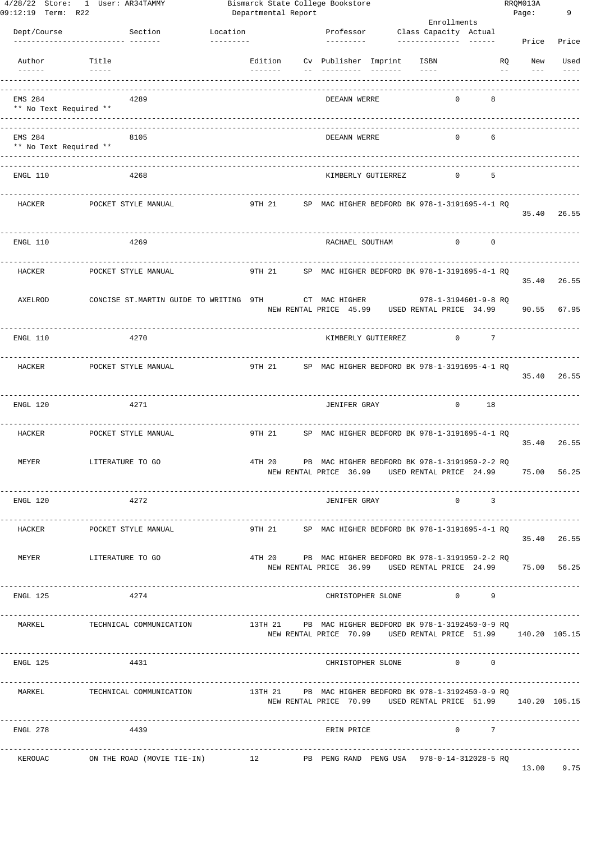| 09:12:19 Term: R22                | 4/28/22 Store: 1 User: AR34TAMMY                                                 |                                 |                 | Bismarck State College Bookstore<br>Departmental Report |               |                     |                                                              |                         |              |                                                              |                  | RRQM013A<br>Page: | 9           |
|-----------------------------------|----------------------------------------------------------------------------------|---------------------------------|-----------------|---------------------------------------------------------|---------------|---------------------|--------------------------------------------------------------|-------------------------|--------------|--------------------------------------------------------------|------------------|-------------------|-------------|
|                                   |                                                                                  |                                 |                 |                                                         |               |                     |                                                              |                         | Enrollments  |                                                              |                  |                   |             |
| Dept/Course                       | Section<br>--------------- -------                                               | Location<br>$- - - - - - - - -$ |                 |                                                         |               | ----------          | Professor Class Capacity Actual                              |                         |              |                                                              |                  | Price             | Price       |
|                                   |                                                                                  |                                 |                 |                                                         |               |                     |                                                              |                         |              |                                                              |                  |                   |             |
| Author<br>$\frac{1}{2}$           | Title<br>$- - - - - -$                                                           |                                 | $- - - - - - -$ |                                                         |               |                     | Edition Cv Publisher Imprint ISBN                            | $    -$                 |              |                                                              | RQ<br>$\sim$ $-$ | New               | Used        |
|                                   |                                                                                  |                                 |                 |                                                         |               |                     |                                                              |                         |              |                                                              |                  |                   |             |
| EMS 284<br>** No Text Required ** | 4289                                                                             |                                 |                 |                                                         |               | DEEANN WERRE        |                                                              |                         |              | 8                                                            |                  |                   |             |
|                                   | ---------------------------                                                      |                                 |                 |                                                         |               |                     |                                                              |                         |              |                                                              |                  |                   |             |
| EMS 284<br>** No Text Required ** | 8105                                                                             |                                 |                 |                                                         |               | DEEANN WERRE        |                                                              |                         | <sup>n</sup> | 6                                                            |                  |                   |             |
|                                   |                                                                                  |                                 |                 |                                                         |               |                     |                                                              |                         |              |                                                              |                  |                   |             |
| ENGL 110                          | 4268                                                                             |                                 |                 |                                                         |               |                     | KIMBERLY GUTIERREZ                                           |                         | $\Omega$     | 5                                                            |                  |                   |             |
| HACKER                            | POCKET STYLE MANUAL                                                              |                                 |                 |                                                         |               |                     | 9TH 21 SP MAC HIGHER BEDFORD BK 978-1-3191695-4-1 RQ         |                         |              |                                                              |                  |                   |             |
|                                   |                                                                                  |                                 |                 |                                                         |               |                     |                                                              |                         |              |                                                              |                  | 35.40             | 26.55       |
| ENGL 110                          | 4269                                                                             |                                 |                 |                                                         |               |                     | RACHAEL SOUTHAM                                              |                         |              | $0 \qquad \qquad$<br>$^{\circ}$                              |                  |                   |             |
|                                   |                                                                                  |                                 |                 |                                                         |               |                     |                                                              |                         |              |                                                              |                  |                   |             |
| HACKER                            | POCKET STYLE MANUAL                                                              |                                 |                 |                                                         |               |                     | 9TH 21 SP MAC HIGHER BEDFORD BK 978-1-3191695-4-1 RQ         |                         |              |                                                              |                  | 35.40             | 26.55       |
| AXELROD                           | CONCISE ST.MARTIN GUIDE TO WRITING 9TH                                           |                                 |                 |                                                         | CT MAC HIGHER |                     |                                                              |                         |              | 978-1-3194601-9-8 RQ                                         |                  |                   |             |
|                                   |                                                                                  |                                 |                 | NEW RENTAL PRICE 45.99                                  |               |                     |                                                              | USED RENTAL PRICE 34.99 |              |                                                              |                  | 90.55             | 67.95       |
| ENGL 110                          | 4270                                                                             |                                 |                 |                                                         |               |                     | KIMBERLY GUTIERREZ                                           |                         | $\Omega$     | 7                                                            |                  |                   |             |
|                                   |                                                                                  |                                 |                 |                                                         |               |                     |                                                              |                         |              |                                                              |                  |                   |             |
| HACKER                            | POCKET STYLE MANUAL                                                              |                                 | 9TH 21          |                                                         |               |                     | SP MAC HIGHER BEDFORD BK 978-1-3191695-4-1 RQ                |                         |              |                                                              |                  | 35.40             | 26.55       |
|                                   |                                                                                  |                                 |                 |                                                         |               |                     |                                                              |                         |              |                                                              |                  |                   |             |
| ENGL 120                          | 4271                                                                             |                                 |                 |                                                         |               | <b>JENIFER GRAY</b> |                                                              |                         | $\mathbf{0}$ | 18                                                           |                  |                   |             |
| HACKER                            | POCKET STYLE MANUAL                                                              | ------------------              |                 |                                                         |               |                     | 9TH 21 SP MAC HIGHER BEDFORD BK 978-1-3191695-4-1 RQ         |                         |              |                                                              |                  |                   |             |
|                                   |                                                                                  |                                 |                 |                                                         |               |                     |                                                              |                         |              |                                                              |                  | 35.40             | 26.55       |
| MEYER                             | LITERATURE TO GO                                                                 |                                 | 4TH 20          |                                                         |               |                     | PB MAC HIGHER BEDFORD BK 978-1-3191959-2-2 RO                |                         |              |                                                              |                  |                   |             |
|                                   |                                                                                  |                                 |                 |                                                         |               |                     | NEW RENTAL PRICE 36.99 USED RENTAL PRICE 24.99               |                         |              |                                                              |                  | 75.00             | 56.25       |
| ENGL 120                          | 4272                                                                             |                                 |                 |                                                         |               | JENIFER GRAY        |                                                              |                         |              | $0 \qquad \qquad 3$                                          |                  |                   |             |
|                                   |                                                                                  |                                 |                 |                                                         |               |                     |                                                              |                         |              |                                                              |                  |                   |             |
| HACKER                            | POCKET STYLE MANUAL                                                              |                                 |                 |                                                         |               |                     | 9TH 21 SP MAC HIGHER BEDFORD BK 978-1-3191695-4-1 RQ         |                         |              |                                                              |                  |                   | 35.40 26.55 |
|                                   | MEYER LITERATURE TO GO                                                           |                                 |                 |                                                         |               |                     | 4TH 20 PB MAC HIGHER BEDFORD BK 978-1-3191959-2-2 RQ         |                         |              |                                                              |                  |                   |             |
|                                   |                                                                                  |                                 |                 |                                                         |               |                     | NEW RENTAL PRICE 36.99 USED RENTAL PRICE 24.99 75.00 56.25   |                         |              |                                                              |                  |                   |             |
|                                   |                                                                                  |                                 |                 |                                                         |               |                     |                                                              |                         |              |                                                              |                  |                   |             |
| ENGL 125                          | 4274                                                                             |                                 |                 |                                                         |               |                     | CHRISTOPHER SLONE 0 9                                        |                         |              |                                                              |                  |                   |             |
| MARKEL                            | TECHNICAL COMMUNICATION                                                          |                                 |                 |                                                         |               |                     | 13TH 21 PB MAC HIGHER BEDFORD BK 978-1-3192450-0-9 RQ        |                         |              |                                                              |                  | ----------------  |             |
|                                   |                                                                                  |                                 |                 |                                                         |               |                     | NEW RENTAL PRICE 70.99 USED RENTAL PRICE 51.99 140.20 105.15 |                         |              |                                                              |                  |                   |             |
| ENGL 125                          | 4431                                                                             |                                 |                 |                                                         |               |                     | CHRISTOPHER SLONE                                            |                         |              | $\begin{array}{ccc} & & & 0 & \quad & \quad & 0 \end{array}$ |                  |                   |             |
|                                   |                                                                                  |                                 |                 |                                                         |               |                     |                                                              |                         |              |                                                              |                  |                   |             |
| MARKEL                            | TECHNICAL COMMUNICATION                                                          |                                 |                 |                                                         |               |                     | 13TH 21 PB MAC HIGHER BEDFORD BK 978-1-3192450-0-9 RQ        |                         |              |                                                              |                  |                   |             |
|                                   |                                                                                  |                                 |                 |                                                         |               |                     | NEW RENTAL PRICE 70.99 USED RENTAL PRICE 51.99 140.20 105.15 |                         |              |                                                              |                  |                   |             |
| ENGL 278                          | 4439                                                                             |                                 |                 |                                                         |               | ERIN PRICE          |                                                              |                         |              | $0 \qquad \qquad 7$                                          |                  |                   |             |
|                                   |                                                                                  |                                 |                 |                                                         |               |                     |                                                              |                         |              | -----------------                                            |                  |                   |             |
|                                   | KEROUAC ON THE ROAD (MOVIE TIE-IN) 12 PB PENG RAND PENG USA 978-0-14-312028-5 RQ |                                 |                 |                                                         |               |                     |                                                              |                         |              |                                                              |                  | 13.00 9.75        |             |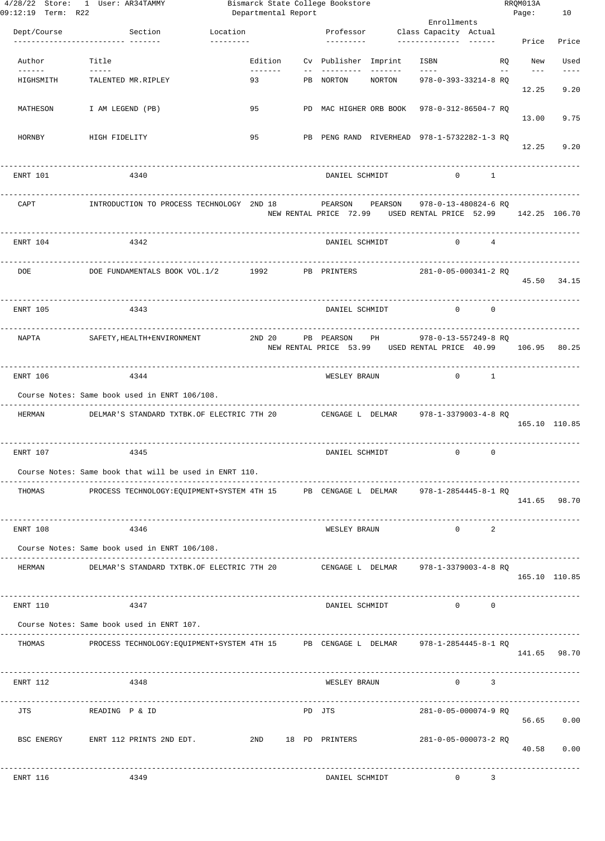| 09:12:19 Term: R22 | 4/28/22 Store: 1 User: AR34TAMMY                                                    | Bismarck State College Bookstore<br>Departmental Report |              |                      |                              |                                                                                      |                         |       | RRQM013A<br>Page: | 10                |
|--------------------|-------------------------------------------------------------------------------------|---------------------------------------------------------|--------------|----------------------|------------------------------|--------------------------------------------------------------------------------------|-------------------------|-------|-------------------|-------------------|
|                    |                                                                                     |                                                         |              |                      |                              | Enrollments                                                                          |                         |       |                   |                   |
| Dept/Course        | Section Location<br>----------------- -------                                       | $- - - - - - - - -$                                     |              | ----------           |                              | Professor Class Capacity Actual                                                      |                         |       | Price             | Price             |
| Author             | Title                                                                               |                                                         |              |                      | Edition Cv Publisher Imprint | ISBN                                                                                 |                         | RQ    | New               | Used              |
| $- - - - - -$      | HIGHSMITH TALENTED MR.RIPLEY                                                        | -------- <b>11</b><br>93                                |              |                      | PB NORTON NORTON             | $   -$<br>978-0-393-33214-8 RQ                                                       |                         | $- -$ | $- - -$<br>12.25  | $- - - -$<br>9.20 |
| MATHESON           | I AM LEGEND (PB)                                                                    | 95                                                      |              |                      |                              | PD MAC HIGHER ORB BOOK 978-0-312-86504-7 RQ                                          |                         |       | 13.00             | 9.75              |
| HORNBY             | HIGH FIDELITY                                                                       | 9.5                                                     |              |                      |                              | PB PENG RAND RIVERHEAD 978-1-5732282-1-3 RO                                          |                         |       | 12.25             | 9.20              |
| ENRT 101           | 4340                                                                                |                                                         |              | DANIEL SCHMIDT       |                              | $\Omega$                                                                             | $\sim$ 1                |       |                   |                   |
| CAPT               | INTRODUCTION TO PROCESS TECHNOLOGY 2ND 18                                           |                                                         |              |                      | PEARSON PEARSON              | 978-0-13-480824-6 RQ<br>NEW RENTAL PRICE 72.99 USED RENTAL PRICE 52.99 142.25 106.70 |                         |       |                   |                   |
| ENRT 104           | 4342                                                                                |                                                         |              | DANIEL SCHMIDT       |                              | $\circ$                                                                              | $\sim$ 4                |       |                   |                   |
|                    | DOE DOE FUNDAMENTALS BOOK VOL.1/2 1992 PB PRINTERS                                  |                                                         |              |                      |                              | 281-0-05-000341-2 RQ                                                                 |                         |       |                   | 45.50 34.15       |
| ENRT 105           | 4343                                                                                |                                                         |              | DANIEL SCHMIDT       |                              | $\mathbf{0}$                                                                         | $^{\circ}$              |       |                   |                   |
|                    | NAPTA SAFETY, HEALTH+ENVIRONMENT                                                    |                                                         |              | 2ND 20 PB PEARSON PH |                              | 978-0-13-557249-8 RQ<br>NEW RENTAL PRICE 53.99 USED RENTAL PRICE 40.99 106.95 80.25  |                         |       |                   |                   |
| ENRT 106           | 4344                                                                                |                                                         |              | WESLEY BRAUN         |                              |                                                                                      | $0 \qquad \qquad 1$     |       |                   |                   |
|                    | Course Notes: Same book used in ENRT 106/108.                                       |                                                         |              |                      |                              |                                                                                      |                         |       |                   |                   |
| HERMAN             | DELMAR'S STANDARD TXTBK.OF ELECTRIC 7TH 20 CENGAGE L DELMAR 978-1-3379003-4-8 RQ    |                                                         | . <u>.</u> . |                      |                              |                                                                                      |                         |       | 165.10 110.85     |                   |
| ENRT 107           | 4345                                                                                |                                                         |              | DANIEL SCHMIDT       |                              | $\mathbf{0}$                                                                         | $^{\circ}$              |       |                   |                   |
|                    | Course Notes: Same book that will be used in ENRT 110.                              |                                                         |              |                      |                              |                                                                                      |                         |       |                   |                   |
| THOMAS             | PROCESS TECHNOLOGY:EQUIPMENT+SYSTEM 4TH 15 PB CENGAGE L DELMAR 978-1-2854445-8-1 RQ |                                                         |              |                      |                              |                                                                                      |                         |       | 141.65 98.70      |                   |
| ENRT 108           | 4346                                                                                |                                                         |              | WESLEY BRAUN         |                              | $0 \qquad \qquad$                                                                    | 2                       |       |                   |                   |
|                    | Course Notes: Same book used in ENRT 106/108.                                       |                                                         |              |                      |                              |                                                                                      |                         |       |                   |                   |
| HERMAN             | DELMAR'S STANDARD TXTBK.OF ELECTRIC 7TH 20 CENGAGE L DELMAR 978-1-3379003-4-8 RQ    |                                                         |              |                      |                              |                                                                                      |                         |       | 165.10 110.85     |                   |
| ENRT 110           | 4347                                                                                |                                                         |              |                      | DANIEL SCHMIDT               | $\sim$ 0                                                                             | $^{\circ}$              |       |                   |                   |
|                    | Course Notes: Same book used in ENRT 107.                                           |                                                         |              |                      |                              |                                                                                      |                         |       |                   |                   |
| THOMAS             | PROCESS TECHNOLOGY:EQUIPMENT+SYSTEM 4TH 15 PB CENGAGE L DELMAR 978-1-2854445-8-1 RQ |                                                         |              |                      |                              |                                                                                      |                         |       | 141.65 98.70      |                   |
| ENRT 112           | 4348                                                                                |                                                         |              | WESLEY BRAUN         |                              | $0 \qquad \qquad$                                                                    | $\overline{\mathbf{3}}$ |       |                   |                   |
|                    | JTS READING P & ID                                                                  |                                                         |              | PD JTS               |                              | 281-0-05-000074-9 RQ                                                                 |                         |       |                   | 56.65 0.00        |
|                    | BSC ENERGY ENRT 112 PRINTS 2ND EDT. 2ND 2ND 18 PD PRINTERS 281-0-05-000073-2 RQ     |                                                         |              |                      |                              |                                                                                      |                         |       |                   | 40.58 0.00        |
| ENRT 116           | 4349                                                                                |                                                         |              | DANIEL SCHMIDT       |                              | $\sim$ 0 3                                                                           |                         |       |                   |                   |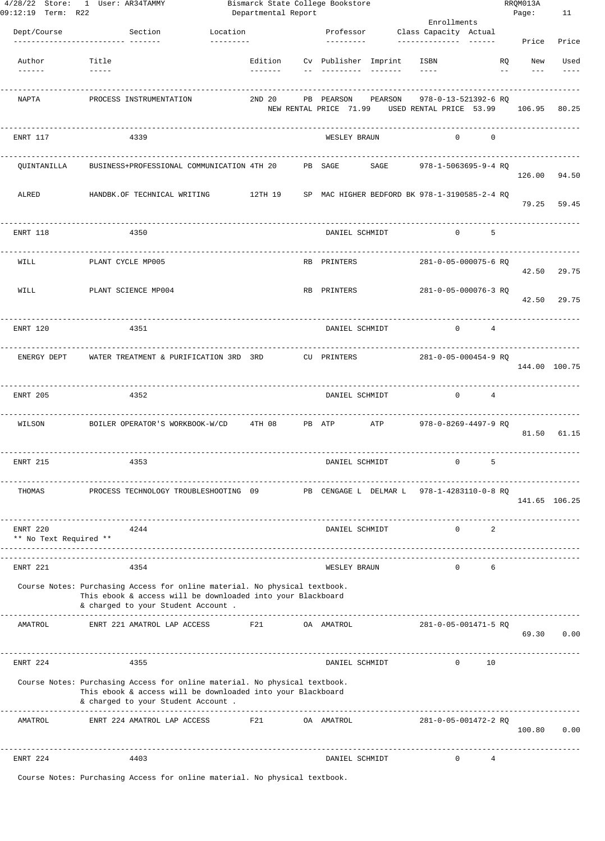| 09:12:19 Term: R22                 | 4/28/22 Store: 1 User: AR34TAMMY                                                                                                                                                 |                       | Departmental Report | Bismarck State College Bookstore |                                   | Enrollments                                                            |                                     | RRQM013A<br>Page:                 | 11            |
|------------------------------------|----------------------------------------------------------------------------------------------------------------------------------------------------------------------------------|-----------------------|---------------------|----------------------------------|-----------------------------------|------------------------------------------------------------------------|-------------------------------------|-----------------------------------|---------------|
| Dept/Course                        | Section<br>--------------- -------                                                                                                                                               | Location<br>--------- |                     | Professor<br>----------          |                                   | Class Capacity Actual                                                  |                                     | Price                             | Price         |
| Author                             | Title                                                                                                                                                                            |                       | --------            |                                  | Edition Cv Publisher Imprint ISBN | $- - - - -$                                                            |                                     | <b>RO</b><br>New<br>$--$<br>$---$ | Used<br>$---$ |
| NAPTA                              | PROCESS INSTRUMENTATION                                                                                                                                                          |                       | 2ND 20              | PB PEARSON                       | PEARSON                           | 978-0-13-521392-6 RQ<br>NEW RENTAL PRICE 71.99 USED RENTAL PRICE 53.99 |                                     |                                   | 106.95 80.25  |
| ENRT 117                           | 4339                                                                                                                                                                             |                       |                     | WESLEY BRAUN                     |                                   | $\Omega$                                                               | $\Omega$                            |                                   |               |
| QUINTANILLA                        | BUSINESS+PROFESSIONAL COMMUNICATION 4TH 20 PB SAGE                                                                                                                               |                       |                     |                                  | SAGE                              | 978-1-5063695-9-4 RO                                                   |                                     |                                   | 126.00 94.50  |
| ALRED                              | HANDBK.OF TECHNICAL WRITING                                                                                                                                                      |                       |                     |                                  |                                   | 12TH 19 SP MAC HIGHER BEDFORD BK 978-1-3190585-2-4 RQ                  |                                     |                                   | 79.25 59.45   |
| ENRT 118                           | 4350                                                                                                                                                                             |                       |                     | DANIEL SCHMIDT                   |                                   | $\mathbf{0}$                                                           | 5                                   |                                   |               |
| WILL                               | PLANT CYCLE MP005                                                                                                                                                                |                       |                     | RB PRINTERS                      |                                   | 281-0-05-000075-6 RQ                                                   |                                     | 42.50                             | 29.75         |
| WILL                               | PLANT SCIENCE MP004                                                                                                                                                              |                       |                     | RB PRINTERS                      |                                   | 281-0-05-000076-3 RO                                                   |                                     | 42.50                             | 29.75         |
| ENRT 120                           | 4351                                                                                                                                                                             |                       |                     | DANIEL SCHMIDT                   |                                   |                                                                        | $0 \qquad \qquad$<br>$\overline{4}$ |                                   |               |
| ENERGY DEPT                        | WATER TREATMENT & PURIFICATION 3RD 3RD CU PRINTERS                                                                                                                               |                       |                     |                                  |                                   | 281-0-05-000454-9 RO                                                   |                                     |                                   | 144.00 100.75 |
| ENRT 205                           | 4352                                                                                                                                                                             |                       |                     |                                  | DANIEL SCHMIDT                    |                                                                        | $0 \qquad \qquad 4$                 |                                   |               |
| WILSON                             | BOILER OPERATOR'S WORKBOOK-W/CD 4TH 08 PB ATP ATP                                                                                                                                |                       |                     |                                  |                                   | 978-0-8269-4497-9 RQ                                                   |                                     |                                   | 81.50 61.15   |
| ENRT 215                           | 4353                                                                                                                                                                             |                       |                     | DANIEL SCHMIDT                   |                                   | $\mathbf{0}$                                                           | 5                                   |                                   |               |
| THOMAS                             | PROCESS TECHNOLOGY TROUBLESHOOTING 09 PB CENGAGE L DELMAR L 978-1-4283110-0-8 RQ                                                                                                 |                       |                     |                                  |                                   |                                                                        |                                     |                                   | 141.65 106.25 |
| ENRT 220<br>** No Text Required ** | 4244                                                                                                                                                                             |                       |                     | DANIEL SCHMIDT                   |                                   | $\mathbf{0}$                                                           | 2                                   |                                   |               |
| ENRT 221                           | 4354                                                                                                                                                                             |                       |                     | WESLEY BRAUN                     |                                   | $\mathbf{0}$                                                           | 6                                   |                                   |               |
|                                    | Course Notes: Purchasing Access for online material. No physical textbook.<br>This ebook & access will be downloaded into your Blackboard<br>& charged to your Student Account . |                       |                     |                                  |                                   |                                                                        |                                     |                                   |               |
| AMATROL                            | ENRT 221 AMATROL LAP ACCESS 6 F21 OA AMATROL                                                                                                                                     |                       |                     |                                  |                                   | 281-0-05-001471-5 RQ                                                   |                                     |                                   | 69.30 0.00    |
| ENRT 224                           | 4355                                                                                                                                                                             |                       |                     | DANIEL SCHMIDT                   |                                   | $\overline{0}$                                                         | 10                                  |                                   |               |
|                                    | Course Notes: Purchasing Access for online material. No physical textbook.<br>This ebook & access will be downloaded into your Blackboard<br>& charged to your Student Account . |                       |                     |                                  |                                   |                                                                        |                                     |                                   |               |
| AMATROL                            | ENRT 224 AMATROL LAP ACCESS F21 OA AMATROL                                                                                                                                       |                       |                     |                                  |                                   | 281-0-05-001472-2 RQ                                                   |                                     |                                   | 100.80 0.00   |
| ENRT 224                           | 4403                                                                                                                                                                             |                       |                     | DANIEL SCHMIDT                   |                                   | $\overline{0}$                                                         | 4                                   |                                   |               |
|                                    |                                                                                                                                                                                  |                       |                     |                                  |                                   |                                                                        |                                     |                                   |               |

Course Notes: Purchasing Access for online material. No physical textbook.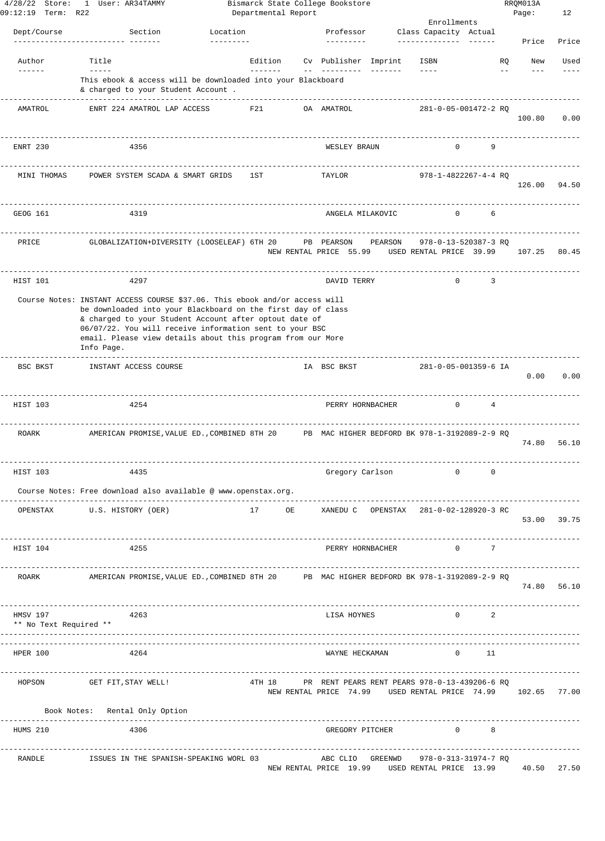| $4/28/22$ Store:<br>09:12:19 Term: R22 | 1 User: AR34TAMMY                                                                                                                                                                                                                                                                                                                            |                            | Departmental Report | Bismarck State College Bookstore                                                                             |                 |                                                 |                                            |         | RRQM013A<br>Page:  | 12          |
|----------------------------------------|----------------------------------------------------------------------------------------------------------------------------------------------------------------------------------------------------------------------------------------------------------------------------------------------------------------------------------------------|----------------------------|---------------------|--------------------------------------------------------------------------------------------------------------|-----------------|-------------------------------------------------|--------------------------------------------|---------|--------------------|-------------|
|                                        |                                                                                                                                                                                                                                                                                                                                              |                            |                     |                                                                                                              |                 | Enrollments                                     |                                            |         |                    |             |
| Dept/Course                            | Section                                                                                                                                                                                                                                                                                                                                      | Location<br>---------      |                     | Professor<br>---------                                                                                       |                 | Class Capacity Actual<br>--------------         |                                            |         | Price              | Price       |
| Author                                 | Title                                                                                                                                                                                                                                                                                                                                        |                            | Edition             | Cv Publisher Imprint                                                                                         |                 | ISBN                                            |                                            | RQ      | New                | Used        |
| $- - - - - -$                          | $- - - - -$<br>This ebook & access will be downloaded into your Blackboard<br>& charged to your Student Account .                                                                                                                                                                                                                            |                            | -------             | $- - - -$                                                                                                    | $- - - - - - -$ | $- - - -$                                       |                                            | $=$ $-$ |                    |             |
| AMATROL                                | -----------------<br>ENRT 224 AMATROL LAP ACCESS                                                                                                                                                                                                                                                                                             |                            | F21                 | OA AMATROL                                                                                                   |                 | 281-0-05-001472-2 RQ                            |                                            |         | 100.80             | 0.00        |
| ENRT 230                               | 4356                                                                                                                                                                                                                                                                                                                                         |                            |                     | WESLEY BRAUN                                                                                                 |                 | $\Omega$                                        | 9                                          |         |                    |             |
| MINI THOMAS                            | POWER SYSTEM SCADA & SMART GRIDS                                                                                                                                                                                                                                                                                                             |                            | 1ST                 | TAYLOR                                                                                                       |                 | 978-1-4822267-4-4 RQ                            |                                            |         | 126.00             | 94.50       |
| GEOG 161                               | 4319                                                                                                                                                                                                                                                                                                                                         |                            |                     | ANGELA MILAKOVIC                                                                                             |                 | $\mathbf 0$                                     | 6                                          |         |                    |             |
| PRICE                                  | GLOBALIZATION+DIVERSITY (LOOSELEAF) 6TH 20                                                                                                                                                                                                                                                                                                   |                            |                     | PB PEARSON<br>NEW RENTAL PRICE 55.99                                                                         | PEARSON         | 978-0-13-520387-3 RQ<br>USED RENTAL PRICE 39.99 |                                            |         | 107.25             | 80.45       |
| HIST 101                               | 4297                                                                                                                                                                                                                                                                                                                                         |                            |                     | DAVID TERRY                                                                                                  |                 | $\circ$                                         | 3                                          |         |                    |             |
|                                        | Course Notes: INSTANT ACCESS COURSE \$37.06. This ebook and/or access will<br>be downloaded into your Blackboard on the first day of class<br>& charged to your Student Account after optout date of<br>06/07/22. You will receive information sent to your BSC<br>email. Please view details about this program from our More<br>Info Page. |                            |                     |                                                                                                              |                 |                                                 |                                            |         |                    |             |
| BSC BKST                               | INSTANT ACCESS COURSE                                                                                                                                                                                                                                                                                                                        |                            |                     | IA BSC BKST                                                                                                  |                 | 281-0-05-001359-6 IA                            |                                            |         | 0.00               | 0.00        |
| HIST 103                               | 4254                                                                                                                                                                                                                                                                                                                                         |                            |                     | PERRY HORNBACHER                                                                                             |                 | $\mathbf 0$                                     | 4                                          |         |                    |             |
| ROARK                                  | AMERICAN PROMISE, VALUE ED., COMBINED 8TH 20                                                                                                                                                                                                                                                                                                 |                            |                     | PB MAC HIGHER BEDFORD BK 978-1-3192089-2-9 RQ                                                                |                 |                                                 |                                            |         | 74.80              | 56.10       |
| HIST 103                               | 4435                                                                                                                                                                                                                                                                                                                                         |                            |                     | Gregory Carlson                                                                                              |                 | $\mathbf 0$                                     | 0                                          |         |                    |             |
|                                        | Course Notes: Free download also available @ www.openstax.org.<br>---------------                                                                                                                                                                                                                                                            | ---------------------      |                     |                                                                                                              |                 |                                                 |                                            |         |                    |             |
| OPENSTAX                               | U.S. HISTORY (OER)                                                                                                                                                                                                                                                                                                                           |                            |                     | 17 OE XANEDU C OPENSTAX 281-0-02-128920-3 RC                                                                 |                 |                                                 |                                            |         | 53.00 39.75        |             |
| HIST 104                               | 4255                                                                                                                                                                                                                                                                                                                                         |                            |                     | PERRY HORNBACHER                                                                                             |                 |                                                 | $\begin{array}{ccc}\n0 & & 7\n\end{array}$ |         |                    |             |
| ROARK                                  | AMERICAN PROMISE, VALUE ED., COMBINED 8TH 20 PB MAC HIGHER BEDFORD BK 978-1-3192089-2-9 RO                                                                                                                                                                                                                                                   |                            |                     |                                                                                                              |                 |                                                 |                                            |         |                    | 74.80 56.10 |
| HMSV 197<br>** No Text Required **     | 4263                                                                                                                                                                                                                                                                                                                                         |                            |                     | LISA HOYNES                                                                                                  |                 | $\Omega$                                        | 2                                          |         | ------------------ |             |
| HPER 100                               | 4264                                                                                                                                                                                                                                                                                                                                         |                            |                     | WAYNE HECKAMAN                                                                                               |                 | $\Omega$                                        | - 11                                       |         |                    |             |
| HOPSON                                 | GET FIT, STAY WELL!                                                                                                                                                                                                                                                                                                                          |                            | 4TH 18              | PR RENT PEARS RENT PEARS 978-0-13-439206-6 RQ<br>NEW RENTAL PRICE 74.99 USED RENTAL PRICE 74.99 102.65 77.00 |                 |                                                 |                                            |         |                    |             |
|                                        | Book Notes: Rental Only Option<br>-----------------------                                                                                                                                                                                                                                                                                    | -------------------------- |                     |                                                                                                              |                 |                                                 |                                            |         |                    |             |
| HUMS 210                               | 4306                                                                                                                                                                                                                                                                                                                                         |                            |                     | GREGORY PITCHER                                                                                              |                 |                                                 | $0$ 8                                      |         |                    |             |
| RANDLE                                 | ISSUES IN THE SPANISH-SPEAKING WORL 03                                                                                                                                                                                                                                                                                                       |                            |                     | ABC CLIO GREENWD<br>NEW RENTAL PRICE 19.99 USED RENTAL PRICE 13.99 40.50 27.50                               |                 | 978-0-313-31974-7 RQ                            |                                            |         |                    |             |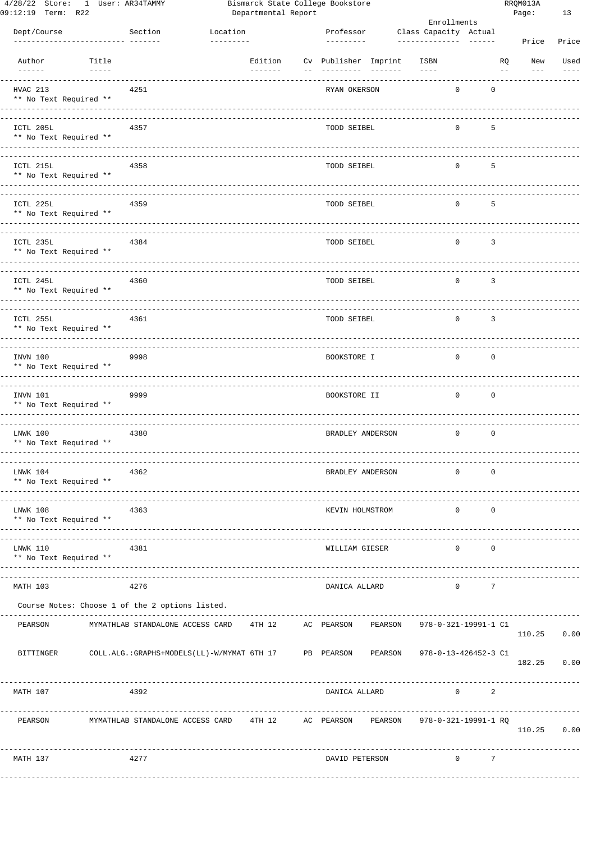| 09:12:19 Term: R22      | 4/28/22 Store: I User: AR34TAMMY |                                                                                          |           | Departmental Report | Bismarck State College Bookstore  |           |                       |                      |                         | RRQMUI3A<br>Page: | 13    |
|-------------------------|----------------------------------|------------------------------------------------------------------------------------------|-----------|---------------------|-----------------------------------|-----------|-----------------------|----------------------|-------------------------|-------------------|-------|
|                         |                                  |                                                                                          |           |                     |                                   |           | Enrollments           |                      |                         |                   |       |
| Dept/Course             |                                  | Section                                                                                  | Location  |                     | Professor                         |           | Class Capacity Actual |                      |                         |                   |       |
|                         |                                  |                                                                                          | --------- |                     | ----------                        |           | _______________       |                      |                         | Price             | Price |
| Author<br>$- - - - - -$ | Title<br>$- - - - -$             |                                                                                          |           | Edition             | Cv Publisher Imprint<br>--------- | $- - - -$ | ISBN<br>$- - - -$     |                      | RQ<br>$\qquad \qquad -$ | New               | Used  |
| HVAC 213                | ** No Text Required **           | 4251                                                                                     |           |                     | RYAN OKERSON                      |           | 0                     | $\mathbf 0$          |                         |                   |       |
|                         |                                  |                                                                                          |           |                     |                                   |           |                       |                      |                         |                   |       |
| ICTL 205L               | ** No Text Required **           | 4357                                                                                     |           |                     | TODD SEIBEL                       |           | 0                     | 5                    |                         |                   |       |
| ICTL 215L               | ** No Text Required **           | 4358                                                                                     |           |                     | TODD SEIBEL                       |           | 0                     | 5                    |                         |                   |       |
| ICTL 225L               | ** No Text Required **           | 4359                                                                                     |           |                     | TODD SEIBEL                       |           | 0                     | 5                    |                         |                   |       |
| ICTL 235L               | ** No Text Required **           | 4384                                                                                     |           |                     | TODD SEIBEL                       |           | 0                     | 3                    |                         |                   |       |
| ICTL 245L               | ** No Text Required **           | 4360                                                                                     |           |                     | TODD SEIBEL                       |           | 0                     | 3                    |                         |                   |       |
| ICTL 255L               | ** No Text Required **           | 4361                                                                                     |           |                     | TODD SEIBEL                       |           | 0                     | 3                    |                         |                   |       |
|                         |                                  |                                                                                          |           |                     |                                   |           |                       |                      |                         |                   |       |
| INVN 100                | ** No Text Required **           | 9998                                                                                     |           |                     | BOOKSTORE I                       |           | 0                     | $\mathbf 0$          |                         |                   |       |
| INVN 101                | ** No Text Required **           | 9999                                                                                     |           |                     | BOOKSTORE II                      |           | $\mathbf 0$           | $\mathbf 0$          |                         |                   |       |
| LNWK 100                | ** No Text Required **           | 4380                                                                                     |           |                     | BRADLEY ANDERSON                  |           | 0                     | $\mathbf 0$          |                         |                   |       |
| LNWK 104                | ** No Text Required **           | 4362                                                                                     |           |                     | BRADLEY ANDERSON                  |           | 0                     | $\mathbf 0$          |                         |                   |       |
| LNWK 108                | ** No Text Required **           | 4363<br>-------------                                                                    |           |                     | KEVIN HOLMSTROM                   |           | 0                     | 0                    |                         |                   |       |
| LNWK 110                | ** No Text Required **           | 4381                                                                                     |           |                     | WILLIAM GIESER                    |           | $\mathbf{0}$          | $\mathbf 0$          |                         |                   |       |
| MATH 103                |                                  | 4276                                                                                     |           |                     | DANICA ALLARD                     |           | $\mathbf{0}$          | 7                    |                         |                   |       |
|                         |                                  | Course Notes: Choose 1 of the 2 options listed.<br>------------------------------------- |           |                     |                                   |           |                       |                      |                         |                   |       |
| PEARSON                 |                                  | MYMATHLAB STANDALONE ACCESS CARD                                                         |           | 4TH 12              | AC PEARSON                        | PEARSON   | 978-0-321-19991-1 C1  |                      |                         | 110.25 0.00       |       |
| BITTINGER               |                                  | COLL.ALG.:GRAPHS+MODELS(LL)-W/MYMAT 6TH 17 PB PEARSON                                    |           |                     |                                   | PEARSON   | 978-0-13-426452-3 C1  |                      |                         | 182.25 0.00       |       |
| MATH 107                |                                  | 4392                                                                                     |           |                     | DANICA ALLARD                     |           |                       | $\overline{0}$<br>-2 |                         |                   |       |
| PEARSON                 |                                  | MYMATHLAB STANDALONE ACCESS CARD 4TH 12 AC PEARSON                                       |           |                     |                                   | PEARSON   | 978-0-321-19991-1 RQ  |                      |                         | 110.25 0.00       |       |
| MATH 137                |                                  | 4277                                                                                     |           |                     | DAVID PETERSON                    |           |                       | $0 \qquad \qquad 7$  |                         |                   |       |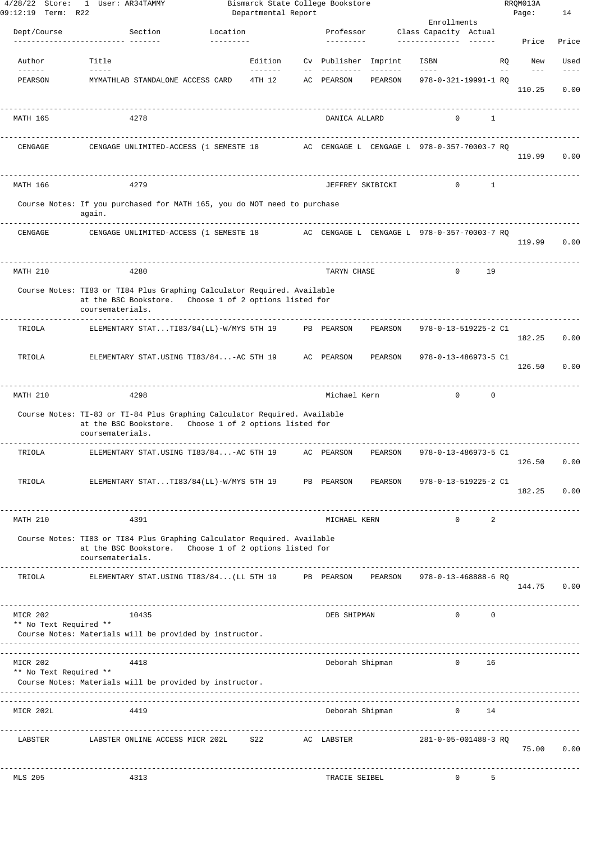| $4/28/22$ Store:<br>09:12:19 Term: R22 | 1 User: AR34TAMMY                                                                                                                                       |                       | Departmental Report              |       | Bismarck State College Bookstore |                     |                                             |              |       | RRQM013A<br>Page: | 14            |
|----------------------------------------|---------------------------------------------------------------------------------------------------------------------------------------------------------|-----------------------|----------------------------------|-------|----------------------------------|---------------------|---------------------------------------------|--------------|-------|-------------------|---------------|
|                                        |                                                                                                                                                         |                       |                                  |       |                                  |                     | Enrollments                                 |              |       |                   |               |
| Dept/Course                            | Section<br>---------------- -------                                                                                                                     | Location<br>--------- |                                  |       | Professor<br>---------           |                     | Class Capacity Actual                       |              |       | Price             | Price         |
| Author                                 | Title                                                                                                                                                   |                       | Edition                          |       | Cv Publisher Imprint             |                     | ISBN                                        |              | RO.   | New               | Used          |
| $- - - - - -$<br>PEARSON               | $\frac{1}{2}$<br>MYMATHLAB STANDALONE ACCESS CARD                                                                                                       |                       | --------<br>4TH 12               | $- -$ | ----------<br>AC PEARSON         | --------<br>PEARSON | $\frac{1}{2}$<br>978-0-321-19991-1 RO       |              | $- -$ | $- - -$<br>110.25 | $---$<br>0.00 |
| MATH 165                               | 4278                                                                                                                                                    |                       |                                  |       | DANICA ALLARD                    |                     | $\mathbf{0}$                                | $\mathbf{1}$ |       |                   |               |
| CENGAGE                                | CENGAGE UNLIMITED-ACCESS (1 SEMESTE 18                                                                                                                  |                       |                                  |       |                                  |                     | AC CENGAGE L CENGAGE L 978-0-357-70003-7 RO |              |       | 119.99            | 0.00          |
| MATH 166                               | 4279                                                                                                                                                    |                       |                                  |       | JEFFREY SKIBICKI                 |                     | $\Omega$                                    | 1            |       |                   |               |
|                                        | Course Notes: If you purchased for MATH 165, you do NOT need to purchase<br>again.                                                                      |                       |                                  |       |                                  |                     |                                             |              |       |                   |               |
| CENGAGE                                | ----------<br>CENGAGE UNLIMITED-ACCESS (1 SEMESTE 18 AC CENGAGE L CENGAGE L 978-0-357-70003-7 RQ                                                        |                       |                                  |       |                                  |                     |                                             |              |       | 119.99            | 0.00          |
| MATH 210                               | 4280                                                                                                                                                    |                       |                                  |       | TARYN CHASE                      |                     | $\Omega$                                    | 19           |       |                   |               |
|                                        | Course Notes: TI83 or TI84 Plus Graphing Calculator Required. Available<br>at the BSC Bookstore. Choose 1 of 2 options listed for<br>coursematerials.   |                       |                                  |       |                                  |                     |                                             |              |       |                   |               |
| TRIOLA                                 | ELEMENTARY STATTI83/84(LL)-W/MYS 5TH 19                                                                                                                 |                       |                                  |       | PB PEARSON                       | PEARSON             | 978-0-13-519225-2 C1                        |              |       | 182.25            | 0.00          |
| TRIOLA                                 | ELEMENTARY STAT.USING TI83/84-AC 5TH 19                                                                                                                 |                       |                                  |       | AC PEARSON                       | PEARSON             | 978-0-13-486973-5 C1                        |              |       | 126.50            | 0.00          |
| MATH 210                               | 4298                                                                                                                                                    |                       |                                  |       | Michael Kern                     |                     | $\Omega$                                    | $\circ$      |       |                   |               |
|                                        | Course Notes: TI-83 or TI-84 Plus Graphing Calculator Required. Available<br>at the BSC Bookstore. Choose 1 of 2 options listed for<br>coursematerials. |                       |                                  |       |                                  |                     |                                             |              |       |                   |               |
| TRIOLA                                 | ELEMENTARY STAT.USING TI83/84-AC 5TH 19                                                                                                                 |                       |                                  |       | AC PEARSON                       | PEARSON             | 978-0-13-486973-5 C1                        |              |       | 126.50            | 0.00          |
| TRIOLA                                 | ELEMENTARY STATTI83/84(LL)-W/MYS 5TH 19                                                                                                                 |                       |                                  |       | PB PEARSON                       | PEARSON             | 978-0-13-519225-2 C1                        |              |       | 182.25            | 0.00          |
| MATH 210                               | 4391                                                                                                                                                    |                       |                                  |       | MICHAEL KERN                     |                     | $\Omega$                                    | 2            |       |                   |               |
|                                        | Course Notes: TI83 or TI84 Plus Graphing Calculator Required. Available<br>at the BSC Bookstore.<br>coursematerials.                                    |                       | Choose 1 of 2 options listed for |       |                                  |                     |                                             |              |       |                   |               |
| TRIOLA                                 | ELEMENTARY STAT.USING TI83/84 (LL 5TH 19                                                                                                                |                       |                                  |       | PB PEARSON                       | PEARSON             | 978-0-13-468888-6 RO                        |              |       | 144.75            | 0.00          |
| MICR 202<br>** No Text Required **     | 10435<br>Course Notes: Materials will be provided by instructor.                                                                                        |                       |                                  |       | DEB SHIPMAN                      |                     | $\Omega$                                    | $\Omega$     |       |                   |               |
| MICR 202<br>** No Text Required **     | 4418<br>Course Notes: Materials will be provided by instructor.                                                                                         |                       |                                  |       | Deborah Shipman                  |                     | $\circ$                                     | 16           |       |                   |               |
| MICR 202L                              | 4419                                                                                                                                                    |                       |                                  |       | Deborah Shipman                  |                     | $\mathbf{0}$                                | 14           |       |                   |               |
| LABSTER                                | LABSTER ONLINE ACCESS MICR 202L                                                                                                                         |                       | S22                              |       | AC LABSTER                       |                     | 281-0-05-001488-3 RQ                        |              |       | 75.00             | 0.00          |
| <b>MLS 205</b>                         | 4313                                                                                                                                                    |                       |                                  |       | TRACIE SEIBEL                    |                     | $^{\circ}$                                  | 5            |       |                   |               |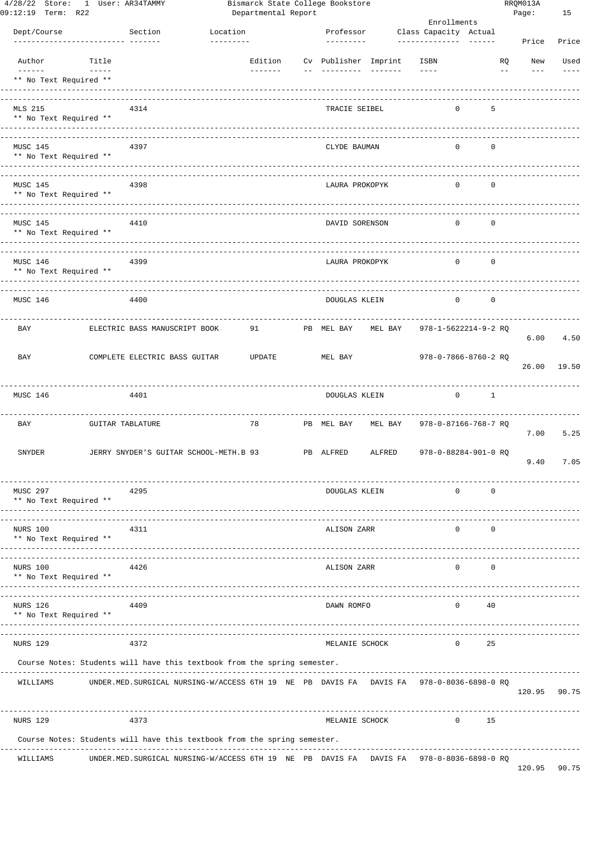| 4/28/22 Store:                     | 1 User: AR34TAMMY       |                                                                          |           |                     |  | Bismarck State College Bookstore |                   |                       |              |                          | RRQM013A     |       |
|------------------------------------|-------------------------|--------------------------------------------------------------------------|-----------|---------------------|--|----------------------------------|-------------------|-----------------------|--------------|--------------------------|--------------|-------|
| 09:12:19 Term: R22                 |                         |                                                                          |           | Departmental Report |  |                                  |                   | Enrollments           |              |                          | Page:        | 15    |
| Dept/Course                        |                         | Section                                                                  | Location  |                     |  | Professor                        |                   | Class Capacity Actual |              |                          |              |       |
|                                    |                         |                                                                          | --------- |                     |  | ---------                        |                   | ---------------       |              |                          | Price        | Price |
| Author                             | Title                   |                                                                          |           | Edition             |  | Cv Publisher Imprint             |                   | ISBN                  |              | <b>RQ</b>                | New          | Used  |
| $- - - - - -$                      | $\frac{1}{2}$           |                                                                          |           | $- - - - - - -$     |  | ----------                       | $- - - - - - - -$ | $- - - -$             |              | $\overline{\phantom{m}}$ | $- - -$      | $  -$ |
| ** No Text Required **             |                         |                                                                          |           |                     |  |                                  |                   |                       |              |                          |              |       |
|                                    |                         |                                                                          |           |                     |  |                                  |                   |                       |              |                          |              |       |
| MLS 215                            |                         | 4314                                                                     |           |                     |  | TRACIE SEIBEL                    |                   |                       | $\Omega$     | 5                        |              |       |
| ** No Text Required **             |                         |                                                                          |           |                     |  |                                  |                   |                       |              |                          |              |       |
|                                    |                         |                                                                          |           |                     |  |                                  |                   |                       |              |                          |              |       |
| MUSC 145                           |                         | 4397                                                                     |           |                     |  | CLYDE BAUMAN                     |                   |                       | $\Omega$     | $\mathbf 0$              |              |       |
| ** No Text Required **             |                         |                                                                          |           |                     |  |                                  |                   |                       |              |                          |              |       |
|                                    |                         |                                                                          |           |                     |  |                                  |                   |                       |              |                          |              |       |
| MUSC 145                           |                         | 4398                                                                     |           |                     |  | LAURA PROKOPYK                   |                   |                       | $\Omega$     | $\mathbf 0$              |              |       |
| ** No Text Required **             |                         |                                                                          |           |                     |  |                                  |                   |                       |              |                          |              |       |
|                                    |                         |                                                                          |           |                     |  |                                  |                   |                       |              |                          |              |       |
| MUSC 145                           |                         | 4410                                                                     |           |                     |  | DAVID SORENSON                   |                   |                       | $\Omega$     | $\mathbf 0$              |              |       |
| ** No Text Required **             |                         |                                                                          |           |                     |  |                                  |                   |                       |              |                          |              |       |
|                                    |                         |                                                                          |           |                     |  |                                  |                   |                       |              |                          |              |       |
|                                    |                         |                                                                          |           |                     |  |                                  |                   |                       |              |                          |              |       |
| MUSC 146<br>** No Text Required ** |                         | 4399                                                                     |           |                     |  | LAURA PROKOPYK                   |                   |                       | $\Omega$     | $\mathbf 0$              |              |       |
|                                    |                         |                                                                          |           |                     |  |                                  |                   |                       |              |                          |              |       |
|                                    |                         |                                                                          |           |                     |  |                                  |                   |                       |              |                          |              |       |
| MUSC 146                           |                         | 4400                                                                     |           |                     |  | DOUGLAS KLEIN                    |                   |                       | $\Omega$     | $\mathbf 0$              |              |       |
|                                    |                         |                                                                          |           |                     |  |                                  |                   |                       |              |                          |              |       |
| <b>BAY</b>                         |                         | ELECTRIC BASS MANUSCRIPT BOOK                                            |           | 91                  |  | PB MEL BAY                       | MEL BAY           |                       |              | 978-1-5622214-9-2 RQ     |              |       |
|                                    |                         |                                                                          |           |                     |  |                                  |                   |                       |              |                          | 6.00         | 4.50  |
| BAY                                |                         | COMPLETE ELECTRIC BASS GUITAR                                            |           | UPDATE              |  | MEL BAY                          |                   |                       |              | 978-0-7866-8760-2 RQ     |              |       |
|                                    |                         |                                                                          |           |                     |  |                                  |                   |                       |              |                          | 26.00        | 19.50 |
|                                    |                         |                                                                          |           |                     |  |                                  |                   |                       |              |                          |              |       |
| MUSC 146                           |                         | 4401                                                                     |           |                     |  | DOUGLAS KLEIN                    |                   |                       | $\circ$      | $\mathbf{1}$             |              |       |
|                                    |                         |                                                                          |           |                     |  |                                  |                   |                       |              |                          |              |       |
|                                    |                         |                                                                          |           |                     |  |                                  | MEL BAY           |                       |              |                          |              |       |
| BAY                                | <b>GUITAR TABLATURE</b> |                                                                          |           | 78                  |  | PB MEL BAY                       |                   |                       |              | 978-0-87166-768-7 RQ     | 7.00         | 5.25  |
|                                    |                         |                                                                          |           |                     |  |                                  |                   |                       |              |                          |              |       |
| <b>SNYDER</b>                      |                         | JERRY SNYDER'S GUITAR SCHOOL-METH.B 93                                   |           |                     |  | PB ALFRED                        | ALFRED            |                       |              | 978-0-88284-901-0 RQ     |              |       |
|                                    |                         |                                                                          |           |                     |  |                                  |                   |                       |              |                          | 9.40         | 7.05  |
|                                    |                         |                                                                          |           |                     |  |                                  |                   |                       |              |                          |              |       |
| MUSC 297                           |                         | 4295                                                                     |           |                     |  | DOUGLAS KLEIN                    |                   |                       | 0            | 0                        |              |       |
| ** No Text Required **             |                         |                                                                          |           |                     |  |                                  |                   |                       |              |                          |              |       |
|                                    |                         |                                                                          |           |                     |  |                                  |                   |                       |              |                          |              |       |
| NURS 100                           |                         | 4311                                                                     |           |                     |  | ALISON ZARR                      |                   |                       | $\Omega$     | 0                        |              |       |
| ** No Text Required **             |                         |                                                                          |           |                     |  |                                  |                   |                       |              |                          |              |       |
|                                    |                         |                                                                          |           |                     |  |                                  |                   |                       |              |                          |              |       |
| NURS 100                           |                         | 4426                                                                     |           |                     |  | ALISON ZARR                      |                   |                       | $\Omega$     | 0                        |              |       |
| ** No Text Required **             |                         | ________________________                                                 |           |                     |  |                                  |                   |                       |              |                          |              |       |
|                                    |                         |                                                                          |           |                     |  |                                  |                   |                       |              |                          |              |       |
| <b>NURS 126</b>                    |                         | 4409                                                                     |           |                     |  | DAWN ROMFO                       |                   |                       | 0            | 40                       |              |       |
| ** No Text Required **             |                         |                                                                          |           |                     |  |                                  |                   |                       |              |                          |              |       |
|                                    |                         |                                                                          |           |                     |  |                                  |                   |                       |              |                          |              |       |
| <b>NURS 129</b>                    |                         | 4372                                                                     |           |                     |  | MELANIE SCHOCK                   |                   |                       | $\mathbf{0}$ | 25                       |              |       |
|                                    |                         | Course Notes: Students will have this textbook from the spring semester. |           |                     |  |                                  |                   |                       |              |                          |              |       |
|                                    |                         |                                                                          |           |                     |  |                                  |                   |                       |              |                          |              |       |
| WILLIAMS                           |                         | UNDER.MED. SURGICAL NURSING-W/ACCESS 6TH 19 NE PB DAVIS FA DAVIS FA      |           |                     |  |                                  |                   |                       |              | 978-0-8036-6898-0 RQ     |              |       |
|                                    |                         |                                                                          |           |                     |  |                                  |                   |                       |              |                          | 120.95       | 90.75 |
|                                    |                         |                                                                          |           |                     |  |                                  |                   |                       |              |                          |              |       |
| <b>NURS 129</b>                    |                         | 4373                                                                     |           |                     |  | MELANIE SCHOCK                   |                   |                       | $\mathbf{0}$ | 15                       |              |       |
|                                    |                         |                                                                          |           |                     |  |                                  |                   |                       |              |                          |              |       |
|                                    |                         | Course Notes: Students will have this textbook from the spring semester. |           |                     |  |                                  |                   |                       |              |                          |              |       |
| WILLIAMS                           |                         | UNDER.MED. SURGICAL NURSING-W/ACCESS 6TH 19 NE PB DAVIS FA DAVIS FA      |           |                     |  |                                  |                   |                       |              | 978-0-8036-6898-0 RQ     |              |       |
|                                    |                         |                                                                          |           |                     |  |                                  |                   |                       |              |                          | 120.95 90.75 |       |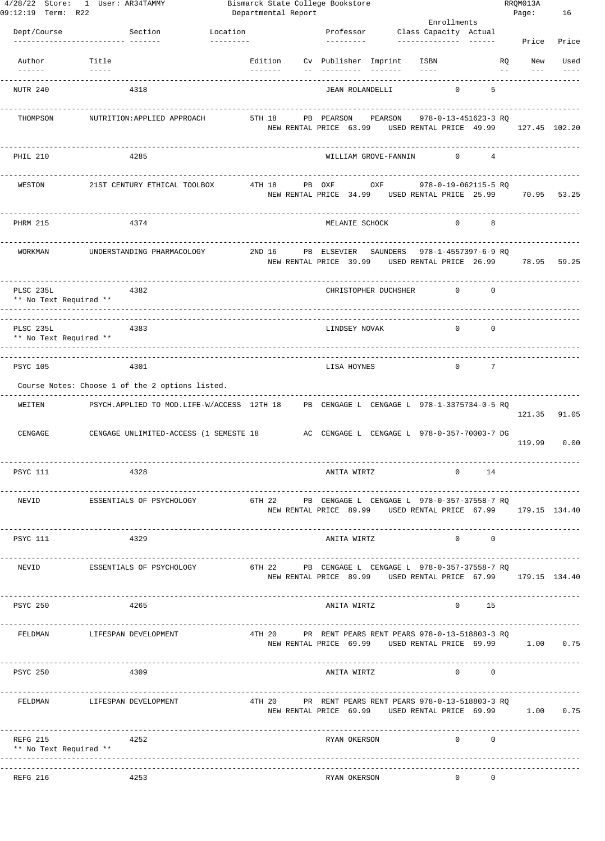| 4/28/22 Store: 1 User: AR34TAMMY<br>09:12:19 Term: R22 |                                    |                                                                                            |            |          | Bismarck State College Bookstore<br>Departmental Report |            |               |                                                      |                     | Enrollments  |                                                 |            | RRQM013A<br>Page:                                                                 | 16              |
|--------------------------------------------------------|------------------------------------|--------------------------------------------------------------------------------------------|------------|----------|---------------------------------------------------------|------------|---------------|------------------------------------------------------|---------------------|--------------|-------------------------------------------------|------------|-----------------------------------------------------------------------------------|-----------------|
| Dept/Course                                            |                                    | Section                                                                                    | Location   |          |                                                         |            |               | Professor Class Capacity Actual                      |                     |              |                                                 |            |                                                                                   |                 |
|                                                        | <u>--------------- -------</u>     |                                                                                            | ---------- |          |                                                         |            | ---------     |                                                      |                     |              |                                                 |            | Price                                                                             | Price           |
| Author                                                 | Title<br>$\qquad \qquad - - - - -$ |                                                                                            |            | -------- |                                                         |            |               | Edition Cv Publisher Imprint                         | ISBN<br>$- - - - -$ |              |                                                 | RQ<br>$--$ | New                                                                               | Used<br>$- - -$ |
| NUTR 240                                               |                                    | 4318                                                                                       |            |          |                                                         |            |               | JEAN ROLANDELLI                                      |                     | $\mathbf{0}$ | 5                                               |            |                                                                                   |                 |
| THOMPSON                                               |                                    | NUTRITION: APPLIED APPROACH                                                                |            | 5TH 18   |                                                         | PB PEARSON |               | PEARSON                                              |                     |              | 978-0-13-451623-3 RQ                            |            | NEW RENTAL PRICE 63.99 USED RENTAL PRICE 49.99 127.45 102.20                      |                 |
| PHIL 210                                               |                                    | 4285                                                                                       |            |          |                                                         |            |               | WILLIAM GROVE-FANNIN 0 4                             |                     |              |                                                 |            |                                                                                   |                 |
| WESTON                                                 |                                    | 21ST CENTURY ETHICAL TOOLBOX                                                               |            | 4TH 18   |                                                         | PB OXF     |               | OXF                                                  |                     |              | 978-0-19-062115-5 RQ                            |            | NEW RENTAL PRICE 34.99 USED RENTAL PRICE 25.99 70.95 53.25                        |                 |
| <b>PHRM 215</b>                                        |                                    | 4374                                                                                       |            |          |                                                         |            |               | MELANIE SCHOCK                                       |                     | $\mathbf{0}$ | 8                                               |            |                                                                                   |                 |
| <b>WORKMAN</b>                                         |                                    | UNDERSTANDING PHARMACOLOGY                                                                 |            | 2ND 16   | NEW RENTAL PRICE 39.99                                  |            |               | PB ELSEVIER SAUNDERS                                 |                     |              | 978-1-4557397-6-9 RO<br>USED RENTAL PRICE 26.99 |            | 78.95 59.25                                                                       |                 |
| PLSC 235L<br>** No Text Required **                    |                                    | 4382                                                                                       |            |          |                                                         |            |               | CHRISTOPHER DUCHSHER                                 |                     | $\circ$      | $\Omega$                                        |            |                                                                                   |                 |
| PLSC 235L<br>** No Text Required **                    |                                    | 4383                                                                                       |            |          |                                                         |            | LINDSEY NOVAK |                                                      |                     | $\Omega$     | $\circ$                                         |            |                                                                                   |                 |
| <b>PSYC 105</b>                                        |                                    | 4301                                                                                       |            |          |                                                         |            | LISA HOYNES   |                                                      |                     | $\Omega$     | 7                                               |            |                                                                                   |                 |
|                                                        |                                    | Course Notes: Choose 1 of the 2 options listed.                                            |            |          |                                                         |            |               |                                                      |                     |              |                                                 |            |                                                                                   |                 |
| WEITEN                                                 |                                    | PSYCH.APPLIED TO MOD.LIFE-W/ACCESS 12TH 18 PB CENGAGE L CENGAGE L 978-1-3375734-0-5 RQ     |            |          |                                                         |            |               |                                                      |                     |              |                                                 |            | 121.35                                                                            | 91.05           |
|                                                        |                                    | CENGAGE CENGAGE UNLIMITED-ACCESS (1 SEMESTE 18 AC CENGAGE L CENGAGE L 978-0-357-70003-7 DG |            |          |                                                         |            |               |                                                      |                     |              |                                                 |            | 119.99                                                                            | 0.00            |
| PSYC 111                                               |                                    | 4328                                                                                       |            |          |                                                         |            | ANITA WIRTZ   |                                                      |                     | $\mathbf{0}$ | 14                                              |            |                                                                                   |                 |
| NEVID                                                  |                                    | ESSENTIALS OF PSYCHOLOGY                                                                   |            |          |                                                         |            |               | 6TH 22 PB CENGAGE L CENGAGE L 978-0-357-37558-7 RO   |                     |              |                                                 |            | -----------------<br>NEW RENTAL PRICE 89.99 USED RENTAL PRICE 67.99 179.15 134.40 |                 |
| PSYC 111                                               |                                    | 4329                                                                                       |            |          |                                                         |            | ANITA WIRTZ   |                                                      |                     |              | $\begin{matrix} 0 & 0 \\ 0 & 0 \end{matrix}$    |            |                                                                                   |                 |
| NEVID                                                  |                                    | ESSENTIALS OF PSYCHOLOGY                                                                   |            |          |                                                         |            |               | 6TH 22 PB CENGAGE L CENGAGE L 978-0-357-37558-7 RO   |                     |              |                                                 |            | NEW RENTAL PRICE 89.99 USED RENTAL PRICE 67.99 179.15 134.40                      |                 |
| PSYC 250                                               |                                    | 4265                                                                                       |            |          |                                                         |            |               | ANITA WIRTZ                                          |                     |              | $0$ 15                                          |            |                                                                                   |                 |
|                                                        |                                    | FELDMAN LIFESPAN DEVELOPMENT 4TH 20 PR RENT PEARS RENT PEARS 978-0-13-518803-3 RQ          |            |          |                                                         |            |               |                                                      |                     |              |                                                 |            | NEW RENTAL PRICE 69.99 USED RENTAL PRICE 69.99 1.00 0.75                          |                 |
| PSYC 250                                               | 4309                               | -----------------------------------                                                        |            |          |                                                         |            |               | ANITA WIRTZ 0 0 0                                    |                     |              |                                                 |            |                                                                                   |                 |
| FELDMAN LIFESPAN DEVELOPMENT                           |                                    | ------------------                                                                         |            |          | --------------------                                    |            |               | 4TH 20 PR RENT PEARS RENT PEARS 978-0-13-518803-3 RQ |                     |              |                                                 |            | .<br>NEW RENTAL PRICE 69.99 USED RENTAL PRICE 69.99 1.00 0.75                     |                 |
| REFG 215<br>** No Text Required **                     |                                    | 4252                                                                                       |            |          |                                                         |            |               | RYAN OKERSON                                         |                     |              |                                                 |            |                                                                                   |                 |
| REFG 216                                               |                                    | 4253                                                                                       |            |          |                                                         |            | RYAN OKERSON  |                                                      |                     | $\mathbf{0}$ | 0                                               |            |                                                                                   |                 |